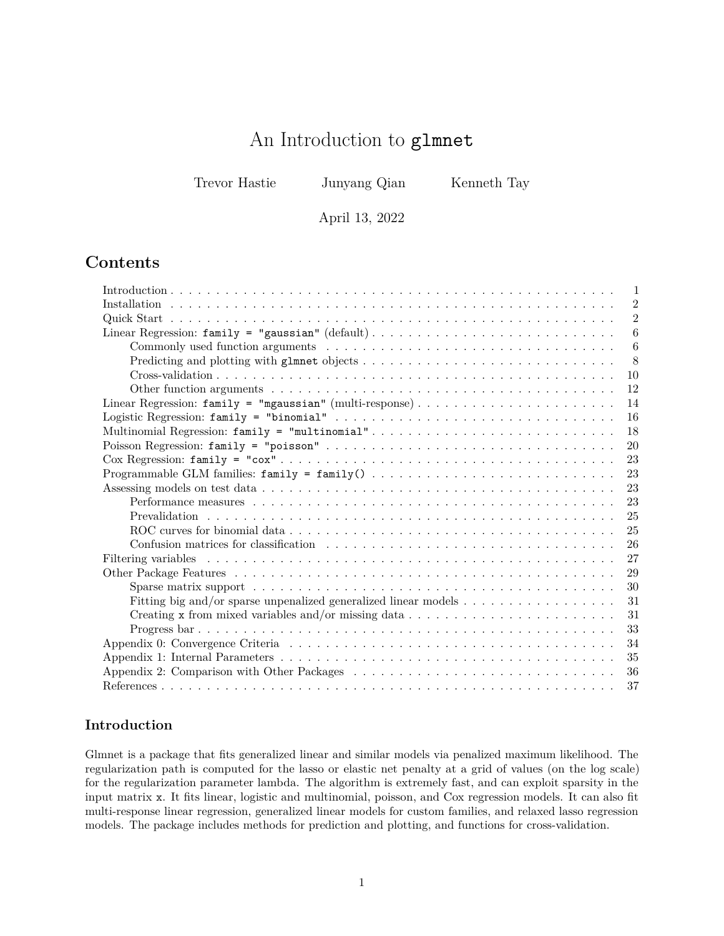# An Introduction to glmnet

Trevor Hastie Junyang Qian Kenneth Tay

April 13, 2022

# **Contents**

| -1                                                                    |
|-----------------------------------------------------------------------|
| $\overline{2}$                                                        |
| $\overline{2}$                                                        |
| $\boldsymbol{6}$                                                      |
| 6                                                                     |
| 8                                                                     |
| 10                                                                    |
| 12                                                                    |
| 14                                                                    |
| 16                                                                    |
| 18<br>Multinomial Regression: family = "multinomial"                  |
| 20                                                                    |
| 23                                                                    |
| 23                                                                    |
| 23                                                                    |
| 23                                                                    |
| 25                                                                    |
| 25                                                                    |
| 26                                                                    |
| 27                                                                    |
| 29                                                                    |
| 30                                                                    |
| Fitting big and/or sparse unpenalized generalized linear models<br>31 |
| 31                                                                    |
| 33                                                                    |
| 34                                                                    |
| 35                                                                    |
| 36                                                                    |
| 37                                                                    |

# <span id="page-0-0"></span>**Introduction**

Glmnet is a package that fits generalized linear and similar models via penalized maximum likelihood. The regularization path is computed for the lasso or elastic net penalty at a grid of values (on the log scale) for the regularization parameter lambda. The algorithm is extremely fast, and can exploit sparsity in the input matrix x. It fits linear, logistic and multinomial, poisson, and Cox regression models. It can also fit multi-response linear regression, generalized linear models for custom families, and relaxed lasso regression models. The package includes methods for prediction and plotting, and functions for cross-validation.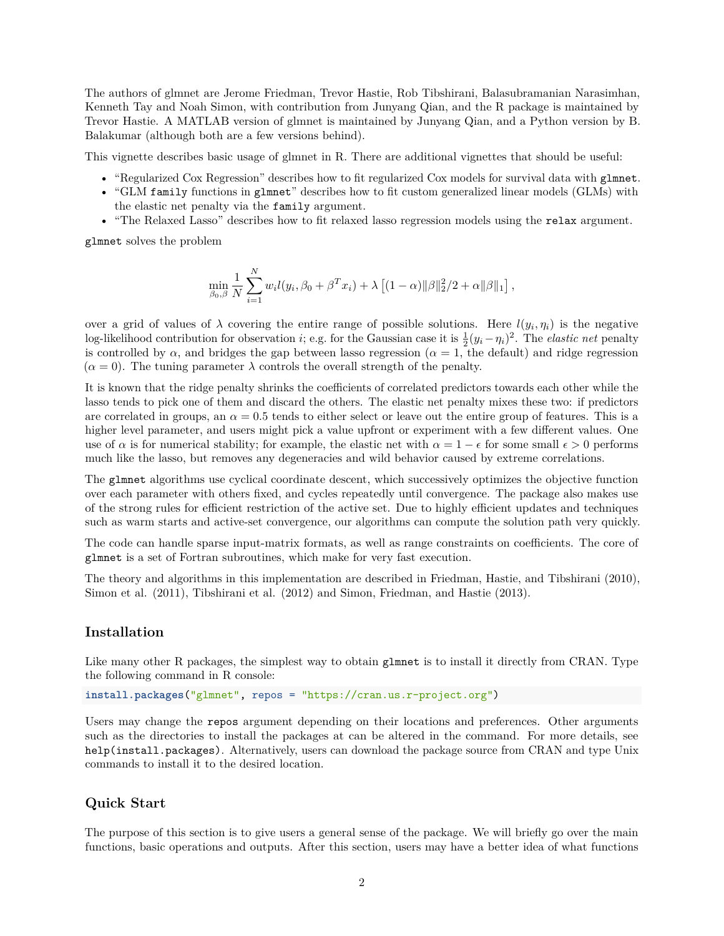The authors of glmnet are Jerome Friedman, Trevor Hastie, Rob Tibshirani, Balasubramanian Narasimhan, Kenneth Tay and Noah Simon, with contribution from Junyang Qian, and the R package is maintained by Trevor Hastie. A MATLAB version of glmnet is maintained by Junyang Qian, and a Python version by B. Balakumar (although both are a few versions behind).

This vignette describes basic usage of glmnet in R. There are additional vignettes that should be useful:

- ["Regularized Cox Regression"](https://glmnet.stanford.edu/articles/Coxnet.html) describes how to fit regularized Cox models for survival data with glmnet.
- "GLM family [functions in](https://glmnet.stanford.edu/articles/glmnetFamily.html) glmnet" describes how to fit custom generalized linear models (GLMs) with the elastic net penalty via the family argument.
- • ["The Relaxed Lasso"](https://glmnet.stanford.edu/articles/relax.html) describes how to fit relaxed lasso regression models using the relax argument.

glmnet solves the problem

$$
\min_{\beta_0, \beta} \frac{1}{N} \sum_{i=1}^N w_i l(y_i, \beta_0 + \beta^T x_i) + \lambda \left[ (1 - \alpha) ||\beta||_2^2 / 2 + \alpha ||\beta||_1 \right],
$$

over a grid of values of  $\lambda$  covering the entire range of possible solutions. Here  $l(y_i, \eta_i)$  is the negative log-likelihood contribution for observation *i*; e.g. for the Gaussian case it is  $\frac{1}{2}(y_i - \eta_i)^2$ . The *elastic net* penalty is controlled by  $\alpha$ , and bridges the gap between lasso regression ( $\alpha = 1$ , the default) and ridge regression  $(\alpha = 0)$ . The tuning parameter  $\lambda$  controls the overall strength of the penalty.

It is known that the ridge penalty shrinks the coefficients of correlated predictors towards each other while the lasso tends to pick one of them and discard the others. The elastic net penalty mixes these two: if predictors are correlated in groups, an  $\alpha = 0.5$  tends to either select or leave out the entire group of features. This is a higher level parameter, and users might pick a value upfront or experiment with a few different values. One use of  $\alpha$  is for numerical stability; for example, the elastic net with  $\alpha = 1 - \epsilon$  for some small  $\epsilon > 0$  performs much like the lasso, but removes any degeneracies and wild behavior caused by extreme correlations.

The glmnet algorithms use cyclical coordinate descent, which successively optimizes the objective function over each parameter with others fixed, and cycles repeatedly until convergence. The package also makes use of the strong rules for efficient restriction of the active set. Due to highly efficient updates and techniques such as warm starts and active-set convergence, our algorithms can compute the solution path very quickly.

The code can handle sparse input-matrix formats, as well as range constraints on coefficients. The core of glmnet is a set of Fortran subroutines, which make for very fast execution.

The theory and algorithms in this implementation are described in Friedman, Hastie, and Tibshirani [\(2010\)](#page-36-1), Simon et al. [\(2011\)](#page-37-0), Tibshirani et al. [\(2012\)](#page-37-1) and Simon, Friedman, and Hastie [\(2013\)](#page-36-2).

# <span id="page-1-0"></span>**Installation**

Like many other R packages, the simplest way to obtain glmnet is to install it directly from CRAN. Type the following command in R console:

**install.packages**("glmnet", repos = "https://cran.us.r-project.org")

Users may change the repos argument depending on their locations and preferences. Other arguments such as the directories to install the packages at can be altered in the command. For more details, see help(install.packages). Alternatively, users can download the package source from [CRAN](https://cran.r-project.org/package=glmnet) and type Unix commands to install it to the desired location.

### <span id="page-1-1"></span>**Quick Start**

The purpose of this section is to give users a general sense of the package. We will briefly go over the main functions, basic operations and outputs. After this section, users may have a better idea of what functions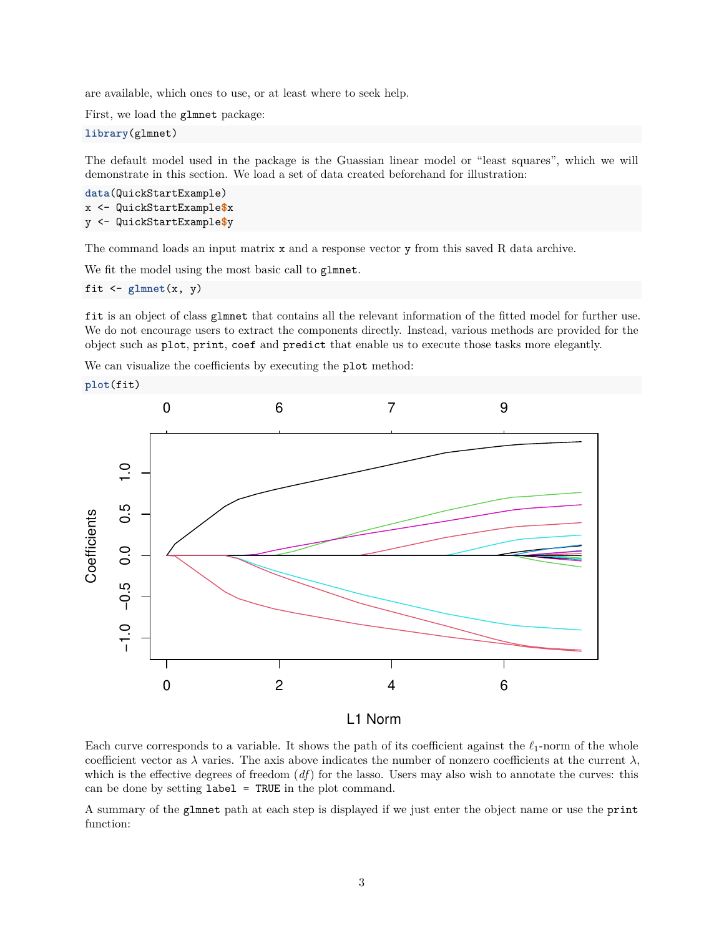are available, which ones to use, or at least where to seek help.

First, we load the glmnet package:

**library**(glmnet)

The default model used in the package is the Guassian linear model or "least squares", which we will demonstrate in this section. We load a set of data created beforehand for illustration:

```
data(QuickStartExample)
x <- QuickStartExample$x
y <- QuickStartExample$y
```
The command loads an input matrix x and a response vector y from this saved R data archive.

We fit the model using the most basic call to glmnet.

fit  $\leftarrow$  glmnet $(x, y)$ 

fit is an object of class glmnet that contains all the relevant information of the fitted model for further use. We do not encourage users to extract the components directly. Instead, various methods are provided for the object such as plot, print, coef and predict that enable us to execute those tasks more elegantly.

We can visualize the coefficients by executing the plot method:



L1 Norm

Each curve corresponds to a variable. It shows the path of its coefficient against the *ℓ*1-norm of the whole coefficient vector as  $\lambda$  varies. The axis above indicates the number of nonzero coefficients at the current  $\lambda$ , which is the effective degrees of freedom (*df*) for the lasso. Users may also wish to annotate the curves: this can be done by setting  $label = TRUE$  in the plot command.

A summary of the glmnet path at each step is displayed if we just enter the object name or use the print function: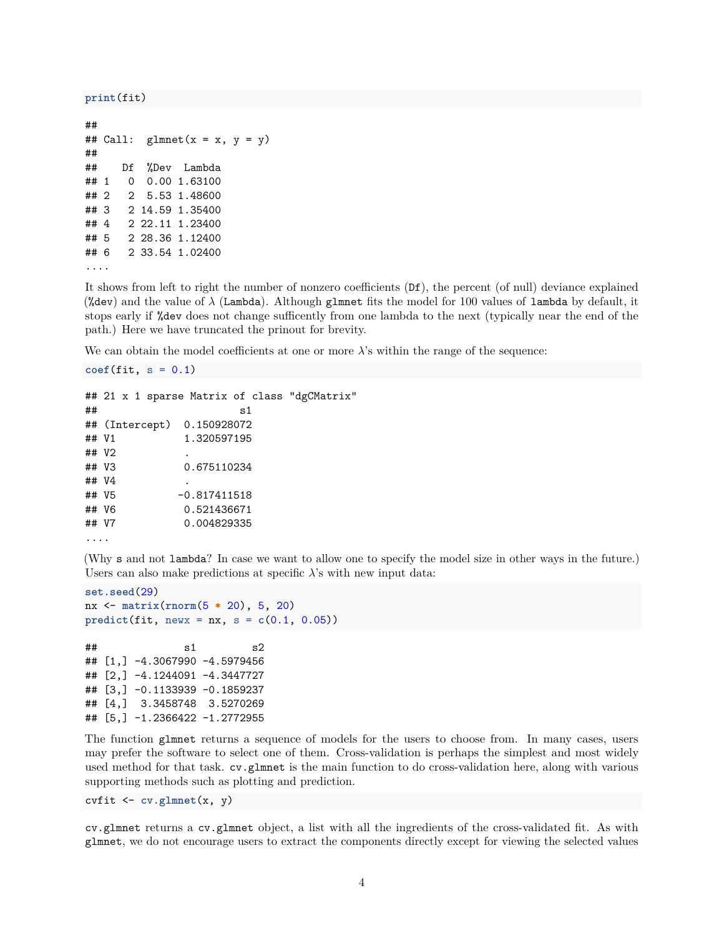#### **print**(fit)

```
##
## Call: glmnet(x = x, y = y)##
## Df %Dev Lambda
## 1 0 0.00 1.63100
## 2 2 5.53 1.48600
## 3 2 14.59 1.35400
## 4 2 22.11 1.23400
## 5 2 28.36 1.12400
## 6 2 33.54 1.02400
....
```
 $\text{coef}(\text{fit}, s = 0.1)$ 

It shows from left to right the number of nonzero coefficients (Df), the percent (of null) deviance explained (%dev) and the value of *λ* (Lambda). Although glmnet fits the model for 100 values of lambda by default, it stops early if %dev does not change sufficently from one lambda to the next (typically near the end of the path.) Here we have truncated the prinout for brevity.

We can obtain the model coefficients at one or more  $\lambda$ 's within the range of the sequence:

```
## 21 x 1 sparse Matrix of class "dgCMatrix"
\# \# s1
## (Intercept) 0.150928072
## V1 1.320597195
## V2 .
## V3 0.675110234
## V4 .
## V5 -0.817411518
## V6 0.521436671
## V7 0.004829335
....
```
(Why s and not lambda? In case we want to allow one to specify the model size in other ways in the future.) Users can also make predictions at specific *λ*'s with new input data:

```
set.seed(29)
nx <- matrix(rnorm(5 * 20), 5, 20)
predict(fit, newx = nx, s = c(0.1, 0.05))
\# \# s1 s2
## [1,] -4.3067990 -4.5979456
## [2,] -4.1244091 -4.3447727
## [3,] -0.1133939 -0.1859237
## [4,] 3.3458748 3.5270269
## [5,] -1.2366422 -1.2772955
```
The function glmnet returns a sequence of models for the users to choose from. In many cases, users may prefer the software to select one of them. Cross-validation is perhaps the simplest and most widely used method for that task. cv.glmnet is the main function to do cross-validation here, along with various supporting methods such as plotting and prediction.

cvfit <- **cv.glmnet**(x, y)

cv.glmnet returns a cv.glmnet object, a list with all the ingredients of the cross-validated fit. As with glmnet, we do not encourage users to extract the components directly except for viewing the selected values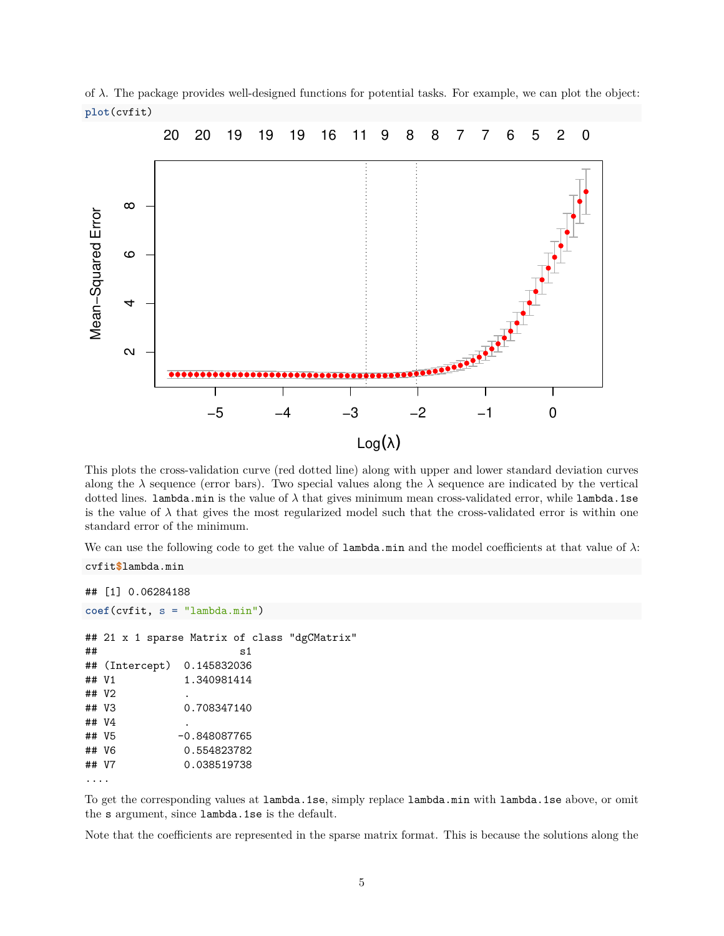of *λ*. The package provides well-designed functions for potential tasks. For example, we can plot the object: **plot**(cvfit)



This plots the cross-validation curve (red dotted line) along with upper and lower standard deviation curves along the  $\lambda$  sequence (error bars). Two special values along the  $\lambda$  sequence are indicated by the vertical dotted lines. lambda.min is the value of *λ* that gives minimum mean cross-validated error, while lambda.1se is the value of  $\lambda$  that gives the most regularized model such that the cross-validated error is within one standard error of the minimum.

We can use the following code to get the value of lambda.min and the model coefficients at that value of *λ*:

```
## [1] 0.06284188
coef(cvfit, s = "lambda.min")
## 21 x 1 sparse Matrix of class "dgCMatrix"
\# s1
## (Intercept) 0.145832036
## V1 1.340981414
## V2 .
## V3 0.708347140
## V4 .
## V5 -0.848087765
## V6 0.554823782
## V7 0.038519738
```
....

cvfit**\$**lambda.min

To get the corresponding values at lambda.1se, simply replace lambda.min with lambda.1se above, or omit the s argument, since lambda.1se is the default.

Note that the coefficients are represented in the sparse matrix format. This is because the solutions along the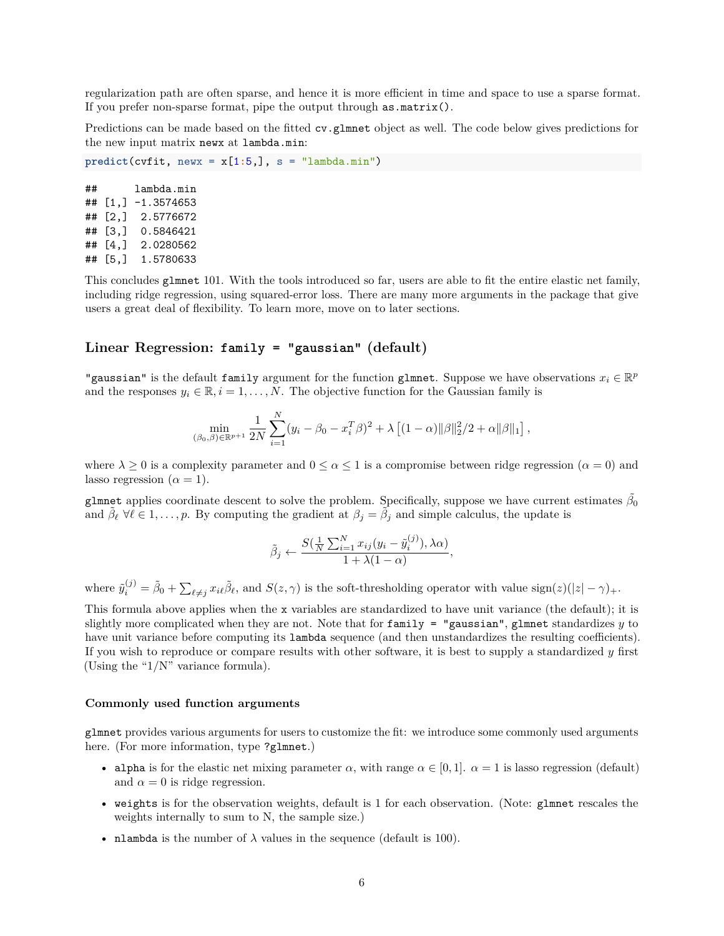regularization path are often sparse, and hence it is more efficient in time and space to use a sparse format. If you prefer non-sparse format, pipe the output through as.matrix().

Predictions can be made based on the fitted cv.glmnet object as well. The code below gives predictions for the new input matrix newx at lambda.min:

 $predict(cvfit, newx = x[1:5,], s = "lambda.min")$ 

## lambda.min ## [1,] -1.3574653 ## [2,] 2.5776672 ## [3,] 0.5846421 ## [4,] 2.0280562 ## [5,] 1.5780633

This concludes glmnet 101. With the tools introduced so far, users are able to fit the entire elastic net family, including ridge regression, using squared-error loss. There are many more arguments in the package that give users a great deal of flexibility. To learn more, move on to later sections.

# <span id="page-5-0"></span>**Linear Regression: family = "gaussian" (default)**

"gaussian" is the default family argument for the function glmnet. Suppose we have observations  $x_i \in \mathbb{R}^p$ and the responses  $y_i \in \mathbb{R}, i = 1, \ldots, N$ . The objective function for the Gaussian family is

$$
\min_{(\beta_0,\beta)\in\mathbb{R}^{p+1}} \frac{1}{2N} \sum_{i=1}^N (y_i - \beta_0 - x_i^T \beta)^2 + \lambda \left[ (1-\alpha) ||\beta||_2^2 / 2 + \alpha ||\beta||_1 \right],
$$

where  $\lambda \geq 0$  is a complexity parameter and  $0 \leq \alpha \leq 1$  is a compromise between ridge regression  $(\alpha = 0)$  and lasso regression  $(\alpha = 1)$ .

glmnet applies coordinate descent to solve the problem. Specifically, suppose we have current estimates  $\tilde{\beta_0}$ and  $\tilde{\beta}_{\ell} \ \forall \ell \in 1, \ldots, p$ . By computing the gradient at  $\beta_j = \tilde{\beta}_j$  and simple calculus, the update is

$$
\tilde{\beta}_j \leftarrow \frac{S(\frac{1}{N}\sum_{i=1}^N x_{ij}(y_i - \tilde{y}_i^{(j)}), \lambda \alpha)}{1 + \lambda(1 - \alpha)},
$$

where  $\tilde{y}_i^{(j)} = \tilde{\beta}_0 + \sum_{\ell \neq j} x_{i\ell} \tilde{\beta}_\ell$ , and  $S(z, \gamma)$  is the soft-thresholding operator with value sign(*z*)(|*z*| –  $\gamma$ )<sub>+</sub>.

This formula above applies when the x variables are standardized to have unit variance (the default); it is slightly more complicated when they are not. Note that for family = "gaussian", glmnet standardizes *y* to have unit variance before computing its lambda sequence (and then unstandardizes the resulting coefficients). If you wish to reproduce or compare results with other software, it is best to supply a standardized *y* first (Using the " $1/N$ " variance formula).

#### <span id="page-5-1"></span>**Commonly used function arguments**

glmnet provides various arguments for users to customize the fit: we introduce some commonly used arguments here. (For more information, type ?glmnet.)

- alpha is for the elastic net mixing parameter  $\alpha$ , with range  $\alpha \in [0,1]$ .  $\alpha = 1$  is lasso regression (default) and  $\alpha = 0$  is ridge regression.
- weights is for the observation weights, default is 1 for each observation. (Note: glmnet rescales the weights internally to sum to N, the sample size.)
- **nlambda** is the number of  $\lambda$  values in the sequence (default is 100).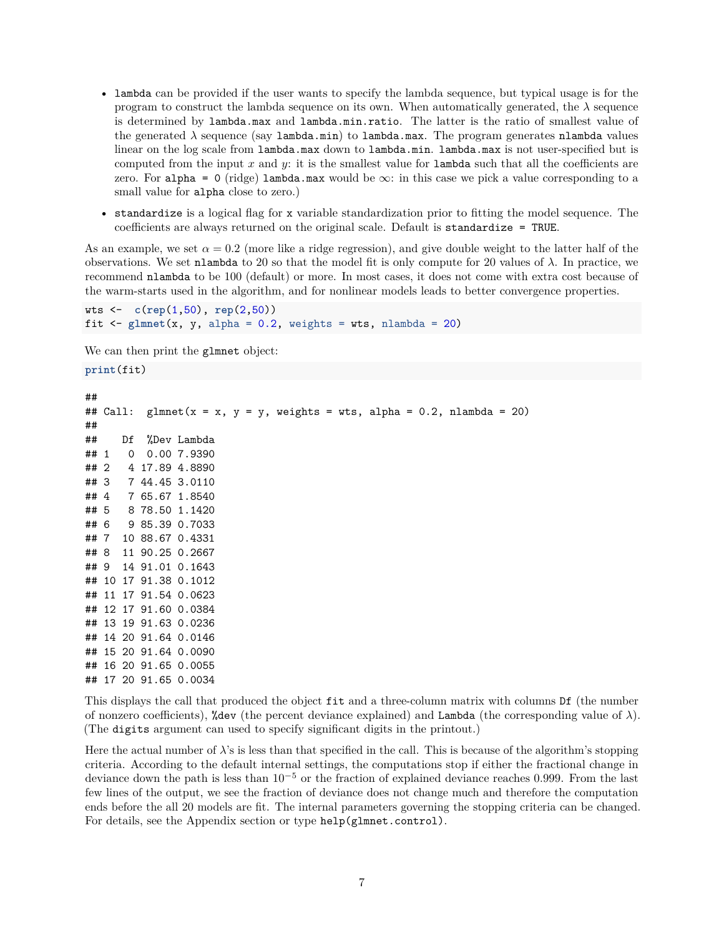- lambda can be provided if the user wants to specify the lambda sequence, but typical usage is for the program to construct the lambda sequence on its own. When automatically generated, the  $\lambda$  sequence is determined by lambda.max and lambda.min.ratio. The latter is the ratio of smallest value of the generated  $\lambda$  sequence (say lambda.min) to lambda.max. The program generates nlambda values linear on the log scale from lambda.max down to lambda.min. lambda.max is not user-specified but is computed from the input *x* and *y*: it is the smallest value for lambda such that all the coefficients are zero. For alpha = 0 (ridge) lambda.max would be  $\infty$ : in this case we pick a value corresponding to a small value for **alpha** close to zero.)
- standardize is a logical flag for x variable standardization prior to fitting the model sequence. The coefficients are always returned on the original scale. Default is standardize = TRUE.

As an example, we set  $\alpha = 0.2$  (more like a ridge regression), and give double weight to the latter half of the observations. We set nlambda to 20 so that the model fit is only compute for 20 values of *λ*. In practice, we recommend nlambda to be 100 (default) or more. In most cases, it does not come with extra cost because of the warm-starts used in the algorithm, and for nonlinear models leads to better convergence properties.

```
wts <- c(rep(1,50), rep(2,50))
fit \leq glmnet(x, y, alpha = 0.2, weights = wts, nlambda = 20)
```
We can then print the glmnet object:

**print**(fit)

```
##
## Call: glmnet(x = x, y = y, weights = wts, alpha = 0.2, nlambda = 20)##
## Df %Dev Lambda
## 1 0 0.00 7.9390
## 2 4 17.89 4.8890
## 3 7 44.45 3.0110
## 4 7 65.67 1.8540
## 5 8 78.50 1.1420
## 6 9 85.39 0.7033
## 7 10 88.67 0.4331
## 8 11 90.25 0.2667
## 9 14 91.01 0.1643
## 10 17 91.38 0.1012
## 11 17 91.54 0.0623
## 12 17 91.60 0.0384
## 13 19 91.63 0.0236
## 14 20 91.64 0.0146
## 15 20 91.64 0.0090
## 16 20 91.65 0.0055
## 17 20 91.65 0.0034
```
This displays the call that produced the object fit and a three-column matrix with columns Df (the number of nonzero coefficients), %dev (the percent deviance explained) and Lambda (the corresponding value of *λ*). (The digits argument can used to specify significant digits in the printout.)

Here the actual number of  $\lambda$ 's is less than that specified in the call. This is because of the algorithm's stopping criteria. According to the default internal settings, the computations stop if either the fractional change in deviance down the path is less than 10<sup>−</sup><sup>5</sup> or the fraction of explained deviance reaches 0*.*999. From the last few lines of the output, we see the fraction of deviance does not change much and therefore the computation ends before the all 20 models are fit. The internal parameters governing the stopping criteria can be changed. For details, see the Appendix section or type help(glmnet.control).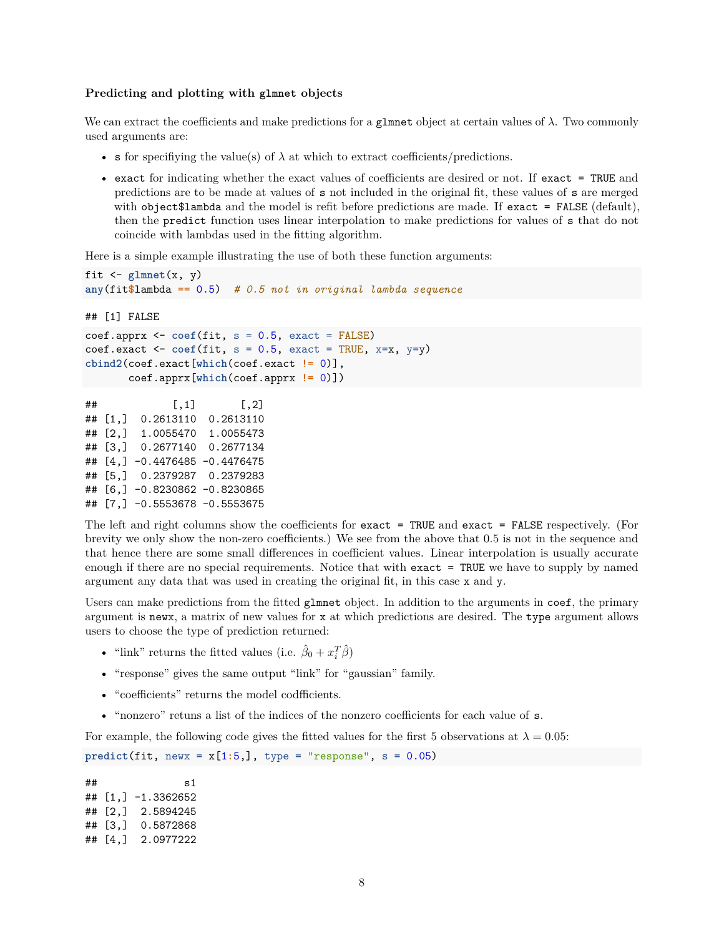#### <span id="page-7-0"></span>**Predicting and plotting with glmnet objects**

We can extract the coefficients and make predictions for a glmnet object at certain values of *λ*. Two commonly used arguments are:

- s for specifiying the value(s) of  $\lambda$  at which to extract coefficients/predictions.
- exact for indicating whether the exact values of coefficients are desired or not. If exact = TRUE and predictions are to be made at values of s not included in the original fit, these values of s are merged with object\$lambda and the model is refit before predictions are made. If exact = FALSE (default), then the predict function uses linear interpolation to make predictions for values of s that do not coincide with lambdas used in the fitting algorithm.

Here is a simple example illustrating the use of both these function arguments:

```
fit \leftarrow glmnet(x, y)any(fit$lambda == 0.5) # 0.5 not in original lambda sequence
## [1] FALSE
coef.apprx <- coef(fit, s = 0.5, exact = FALSE)
\text{coeff}.exact <- \text{coeff}(fit, s = 0.5, exact = TRUE, x=x, y=y)
cbind2(coef.exact[which(coef.exact != 0)],
       coef.apprx[which(coef.apprx != 0)])
\sharp # [, 1 [, 2 ]## [1,] 0.2613110 0.2613110
## [2,] 1.0055470 1.0055473
## [3,] 0.2677140 0.2677134
## [4,] -0.4476485 -0.4476475
## [5,] 0.2379287 0.2379283
## [6,] -0.8230862 -0.8230865
```
## [7,] -0.5553678 -0.5553675

The left and right columns show the coefficients for exact = TRUE and exact = FALSE respectively. (For brevity we only show the non-zero coefficients.) We see from the above that 0.5 is not in the sequence and that hence there are some small differences in coefficient values. Linear interpolation is usually accurate enough if there are no special requirements. Notice that with exact = TRUE we have to supply by named argument any data that was used in creating the original fit, in this case x and y.

Users can make predictions from the fitted glmnet object. In addition to the arguments in coef, the primary argument is newx, a matrix of new values for x at which predictions are desired. The type argument allows users to choose the type of prediction returned:

- "link" returns the fitted values (i.e.  $\hat{\beta}_0 + x_i^T \hat{\beta}$ )
- "response" gives the same output "link" for "gaussian" family.
- "coefficients" returns the model codfficients.
- "nonzero" retuns a list of the indices of the nonzero coefficients for each value of s.

For example, the following code gives the fitted values for the first 5 observations at  $\lambda = 0.05$ :

 $predict(fit, newx = x[1:5,], type = "response", s = 0.05)$ 

 $\#$   $\#$  s1 ## [1,] -1.3362652 ## [2,] 2.5894245 ## [3,] 0.5872868 ## [4,] 2.0977222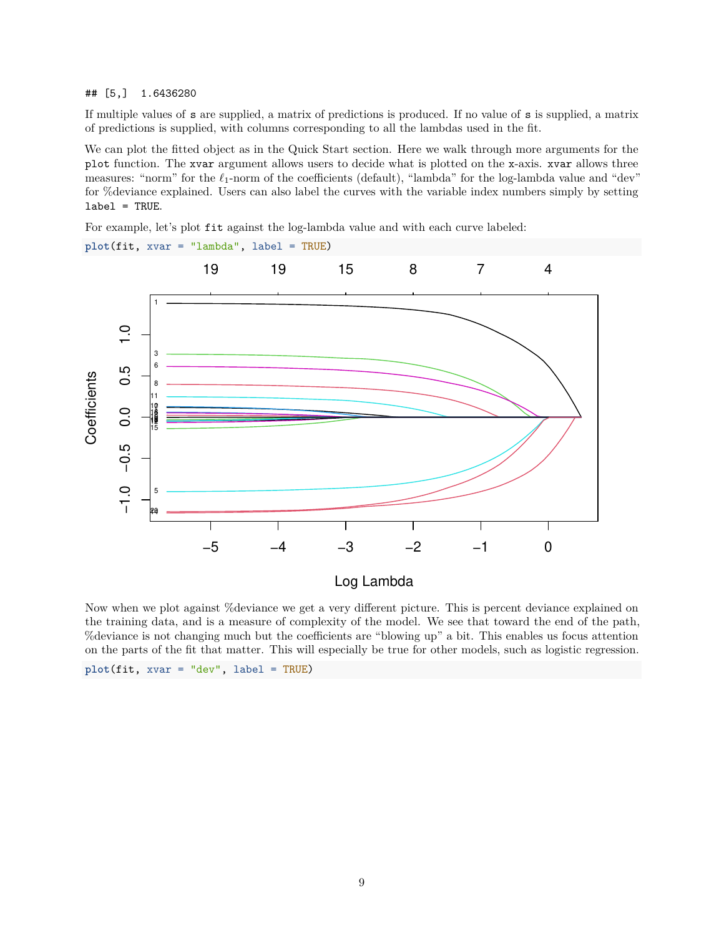#### ## [5,] 1.6436280

If multiple values of s are supplied, a matrix of predictions is produced. If no value of s is supplied, a matrix of predictions is supplied, with columns corresponding to all the lambdas used in the fit.

We can plot the fitted object as in the Quick Start section. Here we walk through more arguments for the plot function. The xvar argument allows users to decide what is plotted on the x-axis. xvar allows three measures: "norm" for the *ℓ*1-norm of the coefficients (default), "lambda" for the log-lambda value and "dev" for %deviance explained. Users can also label the curves with the variable index numbers simply by setting label = TRUE.

For example, let's plot fit against the log-lambda value and with each curve labeled:



Now when we plot against %deviance we get a very different picture. This is percent deviance explained on the training data, and is a measure of complexity of the model. We see that toward the end of the path, %deviance is not changing much but the coefficients are "blowing up" a bit. This enables us focus attention on the parts of the fit that matter. This will especially be true for other models, such as logistic regression.

```
plot(fit, xvar = "dev", label = TRUE)
```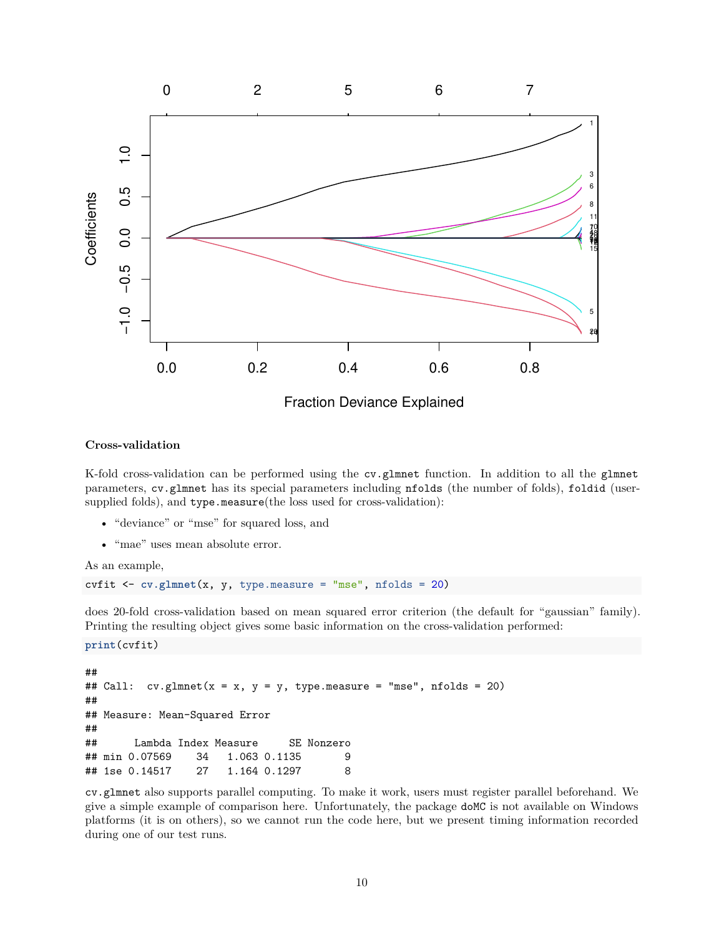

#### <span id="page-9-0"></span>**Cross-validation**

K-fold cross-validation can be performed using the cv.glmnet function. In addition to all the glmnet parameters, cv.glmnet has its special parameters including nfolds (the number of folds), foldid (usersupplied folds), and type.measure(the loss used for cross-validation):

- "deviance" or "mse" for squared loss, and
- "mae" uses mean absolute error.

As an example,

```
cvfit <- cv.glmnet(x, y, type.measure = "mse", nfolds = 20)
```
does 20-fold cross-validation based on mean squared error criterion (the default for "gaussian" family). Printing the resulting object gives some basic information on the cross-validation performed:

**print**(cvfit)

```
##
## Call: cv.glmnet(x = x, y = y, type-measure = "mse", nfolds = 20)##
## Measure: Mean-Squared Error
##
## Lambda Index Measure SE Nonzero
## min 0.07569 34 1.063 0.1135 9
## 1se 0.14517 27 1.164 0.1297 8
```
cv.glmnet also supports parallel computing. To make it work, users must register parallel beforehand. We give a simple example of comparison here. Unfortunately, the package doMC is not available on Windows platforms (it is on others), so we cannot run the code here, but we present timing information recorded during one of our test runs.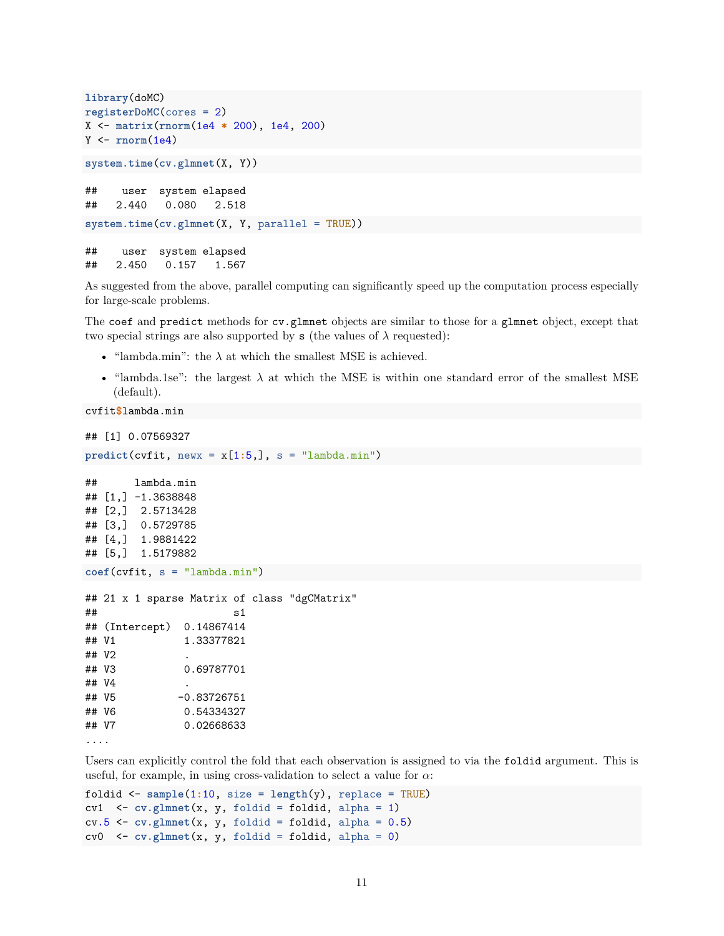```
library(doMC)
registerDoMC(cores = 2)
X <- matrix(rnorm(1e4 * 200), 1e4, 200)
Y <- rnorm(1e4)
system.time(cv.glmnet(X, Y))
## user system elapsed
## 2.440 0.080 2.518
system.time(cv.glmnet(X, Y, parallel = TRUE))
## user system elapsed
## 2.450 0.157 1.567
```
As suggested from the above, parallel computing can significantly speed up the computation process especially for large-scale problems.

The coef and predict methods for cv.glmnet objects are similar to those for a glmnet object, except that two special strings are also supported by  $s$  (the values of  $\lambda$  requested):

- "lambda.min": the  $\lambda$  at which the smallest MSE is achieved.
- "lambda.1se": the largest *λ* at which the MSE is within one standard error of the smallest MSE (default).

```
cvfit$lambda.min
```
## [1] 0.07569327

```
predict(cvfit, newx = x[1:5,], s = "lambda.min")
```

```
## lambda.min
## [1,] -1.3638848
## [2,] 2.5713428
## [3,] 0.5729785
## [4,] 1.9881422
## [5,] 1.5179882
coef(cvfit, s = "lambda.min")
## 21 x 1 sparse Matrix of class "dgCMatrix"
\# s1
## (Intercept) 0.14867414
## V1 1.33377821
## V2 .
## V3 0.69787701
## V4 .
## V5 -0.83726751
## V6 0.54334327
## V7 0.02668633
....
```
Users can explicitly control the fold that each observation is assigned to via the foldid argument. This is useful, for example, in using cross-validation to select a value for *α*:

```
foldid <- sample(1:10, size = length(y), replace = TRUE)
cv1 <- cv.glmnet(x, y, foldid = foldid, alpha = 1)
cv.5 \leftarrow cv.glmnet(x, y, foldid = foldid, alpha = 0.5)cv0 <- cv.glmnet(x, y, foldid = foldid, alpha = 0)
```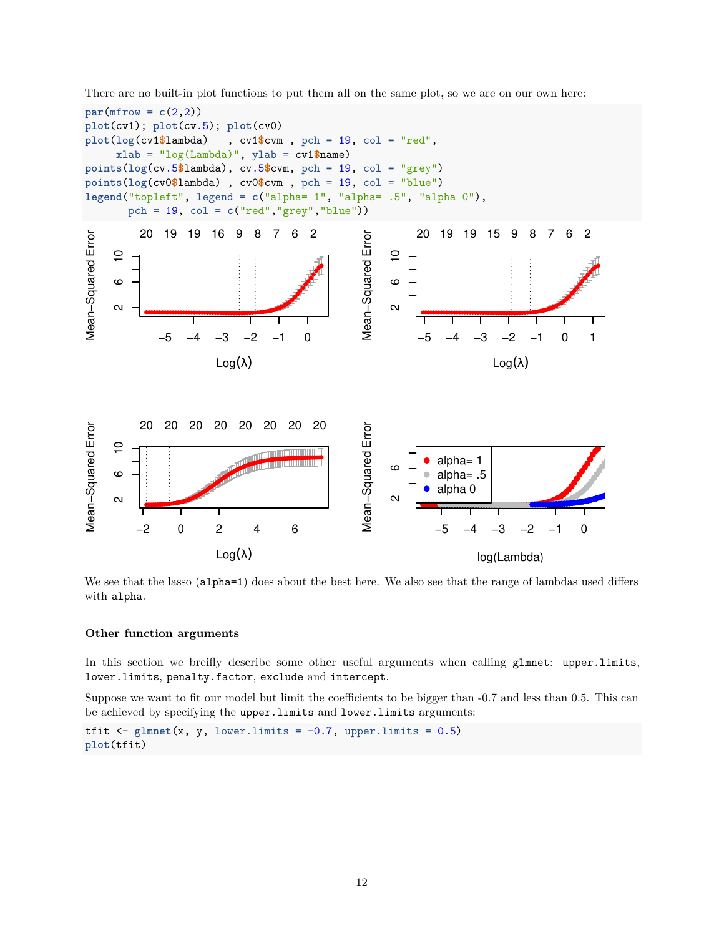



We see that the lasso (alpha=1) does about the best here. We also see that the range of lambdas used differs with alpha.

#### <span id="page-11-0"></span>**Other function arguments**

In this section we breifly describe some other useful arguments when calling glmnet: upper.limits, lower.limits, penalty.factor, exclude and intercept.

Suppose we want to fit our model but limit the coefficients to be bigger than -0.7 and less than 0.5. This can be achieved by specifying the upper.limits and lower.limits arguments:

tfit  $\leq$  glmnet $(x, y,$  lower.limits = -0.7, upper.limits = 0.5) **plot**(tfit)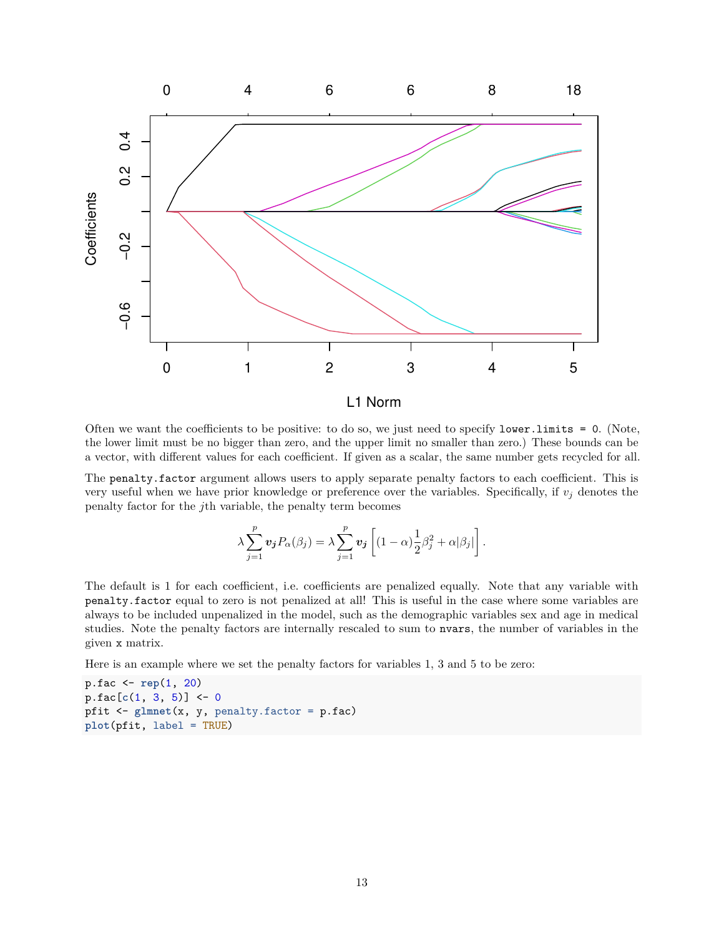

Often we want the coefficients to be positive: to do so, we just need to specify lower.limits = 0. (Note, the lower limit must be no bigger than zero, and the upper limit no smaller than zero.) These bounds can be a vector, with different values for each coefficient. If given as a scalar, the same number gets recycled for all.

The penalty.factor argument allows users to apply separate penalty factors to each coefficient. This is very useful when we have prior knowledge or preference over the variables. Specifically, if  $v_j$  denotes the penalty factor for the *j*th variable, the penalty term becomes

$$
\lambda \sum_{j=1}^p \mathbf{v}_j P_\alpha(\beta_j) = \lambda \sum_{j=1}^p \mathbf{v}_j \left[ (1-\alpha) \frac{1}{2} \beta_j^2 + \alpha |\beta_j| \right].
$$

The default is 1 for each coefficient, i.e. coefficients are penalized equally. Note that any variable with penalty.factor equal to zero is not penalized at all! This is useful in the case where some variables are always to be included unpenalized in the model, such as the demographic variables sex and age in medical studies. Note the penalty factors are internally rescaled to sum to nvars, the number of variables in the given x matrix.

Here is an example where we set the penalty factors for variables 1, 3 and 5 to be zero:

p.fac <- **rep**(1, 20) p.fac[**c**(1, 3, 5)] <- 0 pfit <- **glmnet**(x, y, penalty.factor = p.fac) **plot**(pfit, label = TRUE)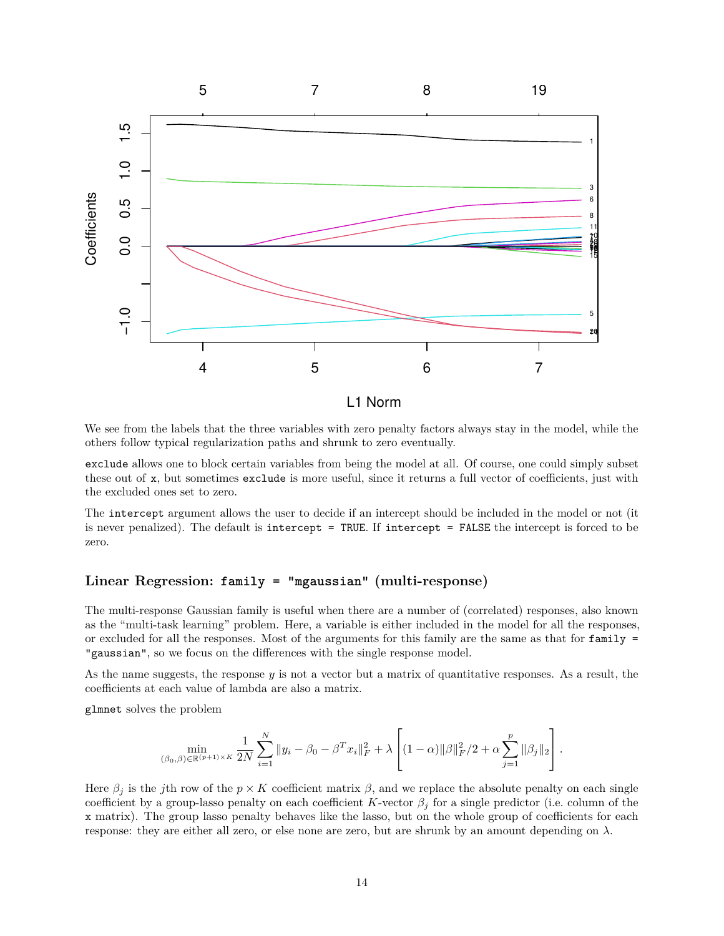

We see from the labels that the three variables with zero penalty factors always stay in the model, while the others follow typical regularization paths and shrunk to zero eventually.

exclude allows one to block certain variables from being the model at all. Of course, one could simply subset these out of x, but sometimes exclude is more useful, since it returns a full vector of coefficients, just with the excluded ones set to zero.

The intercept argument allows the user to decide if an intercept should be included in the model or not (it is never penalized). The default is intercept = TRUE. If intercept = FALSE the intercept is forced to be zero.

# <span id="page-13-0"></span>**Linear Regression: family = "mgaussian" (multi-response)**

The multi-response Gaussian family is useful when there are a number of (correlated) responses, also known as the "multi-task learning" problem. Here, a variable is either included in the model for all the responses, or excluded for all the responses. Most of the arguments for this family are the same as that for  $fami1y =$ "gaussian", so we focus on the differences with the single response model.

As the name suggests, the response *y* is not a vector but a matrix of quantitative responses. As a result, the coefficients at each value of lambda are also a matrix.

glmnet solves the problem

$$
\min_{(\beta_0,\beta)\in\mathbb{R}^{(p+1)\times K}}\frac{1}{2N}\sum_{i=1}^N\|y_i-\beta_0-\beta^Tx_i\|_F^2+\lambda\left[(1-\alpha)\|\beta\|_F^2/2+\alpha\sum_{j=1}^p\|\beta_j\|_2\right].
$$

Here  $\beta_j$  is the *j*th row of the  $p \times K$  coefficient matrix  $\beta$ , and we replace the absolute penalty on each single coefficient by a group-lasso penalty on each coefficient *K*-vector  $\beta_j$  for a single predictor (i.e. column of the x matrix). The group lasso penalty behaves like the lasso, but on the whole group of coefficients for each response: they are either all zero, or else none are zero, but are shrunk by an amount depending on  $\lambda$ .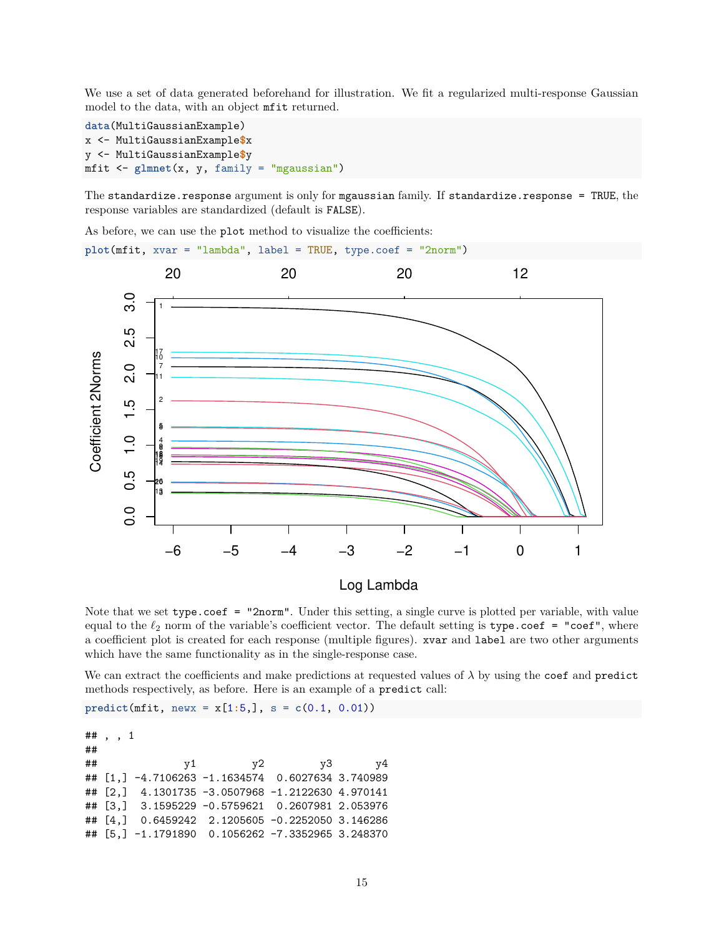We use a set of data generated beforehand for illustration. We fit a regularized multi-response Gaussian model to the data, with an object mfit returned.

```
data(MultiGaussianExample)
x <- MultiGaussianExample$x
y <- MultiGaussianExample$y
mfit <- glmnet(x, y, family = "mgaussian")
```
The standardize.response argument is only for mgaussian family. If standardize.response = TRUE, the response variables are standardized (default is FALSE).

As before, we can use the plot method to visualize the coefficients:

**plot**(mfit, xvar = "lambda", label = TRUE, type.coef = "2norm")



Note that we set type.coef = "2norm". Under this setting, a single curve is plotted per variable, with value equal to the  $\ell_2$  norm of the variable's coefficient vector. The default setting is type.coef = "coef", where a coefficient plot is created for each response (multiple figures). xvar and label are two other arguments which have the same functionality as in the single-response case.

We can extract the coefficients and make predictions at requested values of  $\lambda$  by using the coef and predict methods respectively, as before. Here is an example of a predict call:

 $predict(mfit, newx = x[1:5,], s = c(0.1, 0.01))$ 

## , , 1 ## ## y1 y2 y3 y4 ## [1,] -4.7106263 -1.1634574 0.6027634 3.740989 ## [2,] 4.1301735 -3.0507968 -1.2122630 4.970141 ## [3,] 3.1595229 -0.5759621 0.2607981 2.053976 ## [4,] 0.6459242 2.1205605 -0.2252050 3.146286 ## [5,] -1.1791890 0.1056262 -7.3352965 3.248370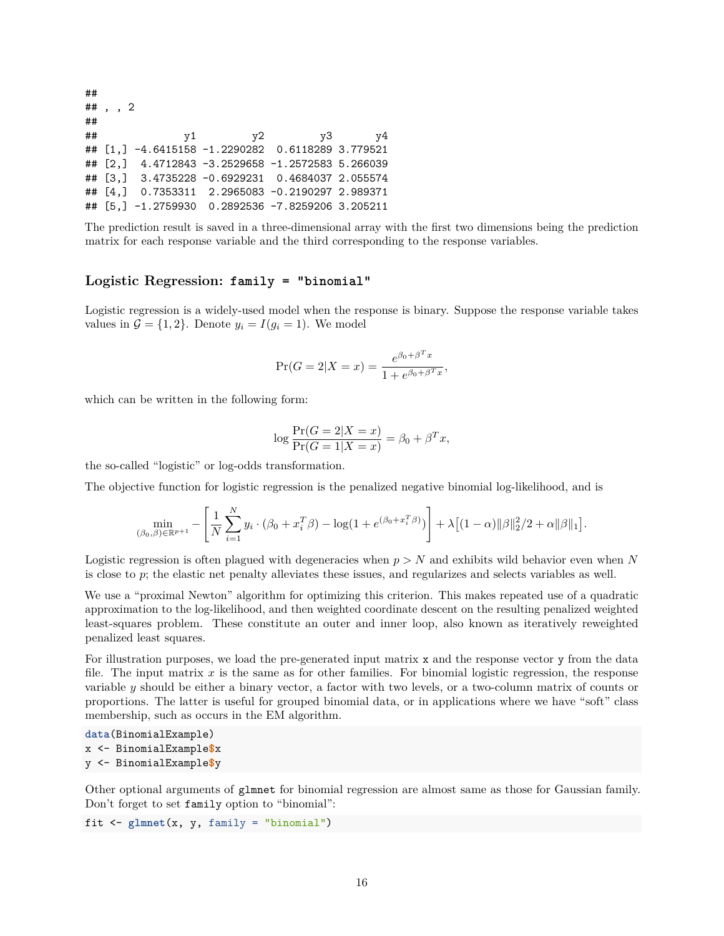## ## , , 2 ## ## y1 y2 y3 y4 ## [1,] -4.6415158 -1.2290282 0.6118289 3.779521 ## [2,] 4.4712843 -3.2529658 -1.2572583 5.266039 ## [3,] 3.4735228 -0.6929231 0.4684037 2.055574 ## [4,] 0.7353311 2.2965083 -0.2190297 2.989371 ## [5,] -1.2759930 0.2892536 -7.8259206 3.205211

The prediction result is saved in a three-dimensional array with the first two dimensions being the prediction matrix for each response variable and the third corresponding to the response variables.

### <span id="page-15-0"></span>**Logistic Regression: family = "binomial"**

Logistic regression is a widely-used model when the response is binary. Suppose the response variable takes values in  $\mathcal{G} = \{1, 2\}$ . Denote  $y_i = I(g_i = 1)$ . We model

$$
\Pr(G = 2|X = x) = \frac{e^{\beta_0 + \beta^T x}}{1 + e^{\beta_0 + \beta^T x}},
$$

which can be written in the following form:

$$
\log \frac{\Pr(G = 2|X = x)}{\Pr(G = 1|X = x)} = \beta_0 + \beta^T x,
$$

the so-called "logistic" or log-odds transformation.

The objective function for logistic regression is the penalized negative binomial log-likelihood, and is

$$
\min_{(\beta_0, \beta) \in \mathbb{R}^{p+1}} - \left[ \frac{1}{N} \sum_{i=1}^N y_i \cdot (\beta_0 + x_i^T \beta) - \log(1 + e^{(\beta_0 + x_i^T \beta)}) \right] + \lambda \left[ (1 - \alpha) ||\beta||_2^2 / 2 + \alpha ||\beta||_1 \right].
$$

Logistic regression is often plagued with degeneracies when *p > N* and exhibits wild behavior even when *N* is close to *p*; the elastic net penalty alleviates these issues, and regularizes and selects variables as well.

We use a "proximal Newton" algorithm for optimizing this criterion. This makes repeated use of a quadratic approximation to the log-likelihood, and then weighted coordinate descent on the resulting penalized weighted least-squares problem. These constitute an outer and inner loop, also known as iteratively reweighted penalized least squares.

For illustration purposes, we load the pre-generated input matrix x and the response vector y from the data file. The input matrix *x* is the same as for other families. For binomial logistic regression, the response variable *y* should be either a binary vector, a factor with two levels, or a two-column matrix of counts or proportions. The latter is useful for grouped binomial data, or in applications where we have "soft" class membership, such as occurs in the EM algorithm.

```
data(BinomialExample)
x <- BinomialExample$x
y <- BinomialExample$y
```
Other optional arguments of glmnet for binomial regression are almost same as those for Gaussian family. Don't forget to set family option to "binomial":

```
fit <- glmnet(x, y, family = "binomial")
```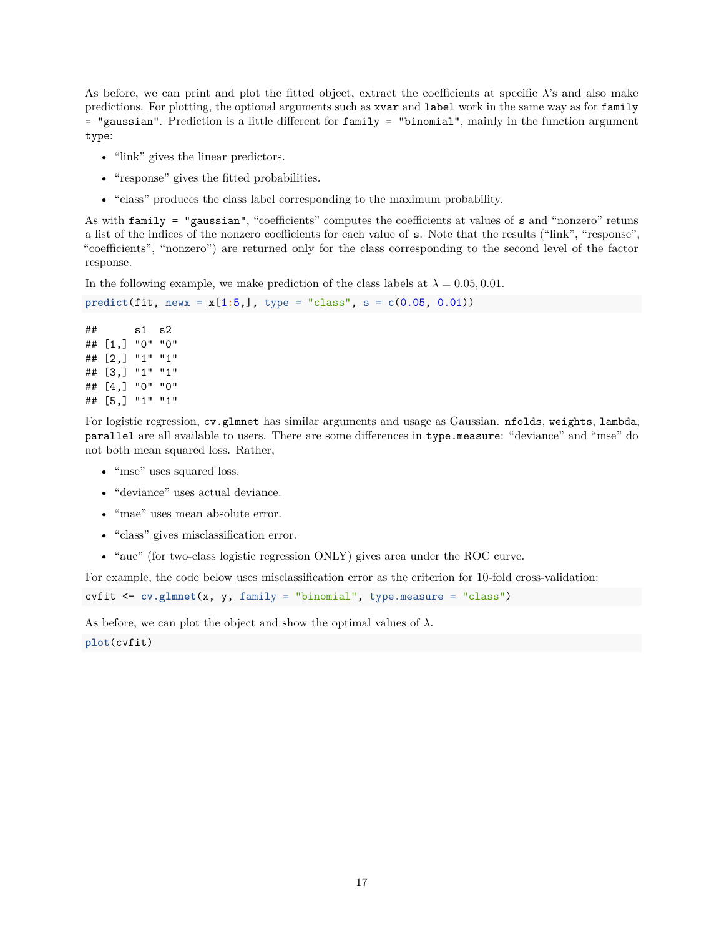As before, we can print and plot the fitted object, extract the coefficients at specific *λ*'s and also make predictions. For plotting, the optional arguments such as xvar and label work in the same way as for family = "gaussian". Prediction is a little different for family = "binomial", mainly in the function argument type:

- "link" gives the linear predictors.
- "response" gives the fitted probabilities.
- "class" produces the class label corresponding to the maximum probability.

As with family = "gaussian", "coefficients" computes the coefficients at values of s and "nonzero" retuns a list of the indices of the nonzero coefficients for each value of s. Note that the results ("link", "response", "coefficients", "nonzero") are returned only for the class corresponding to the second level of the factor response.

In the following example, we make prediction of the class labels at  $\lambda = 0.05, 0.01$ .

```
predict(fit, newx = x[1:5,], type = "class", s = c(0.05, 0.01))
```
## s1 s2 ## [1,] "0" "0" ## [2,] "1" "1" ## [3,] "1" "1" ## [4,] "0" "0" ## [5,] "1" "1"

For logistic regression, cv.glmnet has similar arguments and usage as Gaussian. nfolds, weights, lambda, parallel are all available to users. There are some differences in type.measure: "deviance" and "mse" do not both mean squared loss. Rather,

- "mse" uses squared loss.
- "deviance" uses actual deviance.
- "mae" uses mean absolute error.
- "class" gives misclassification error.
- "auc" (for two-class logistic regression ONLY) gives area under the ROC curve.

For example, the code below uses misclassification error as the criterion for 10-fold cross-validation:

```
cvfit <- cv.glmnet(x, y, family = "binomial", type.measure = "class")
```
As before, we can plot the object and show the optimal values of  $\lambda$ . **plot**(cvfit)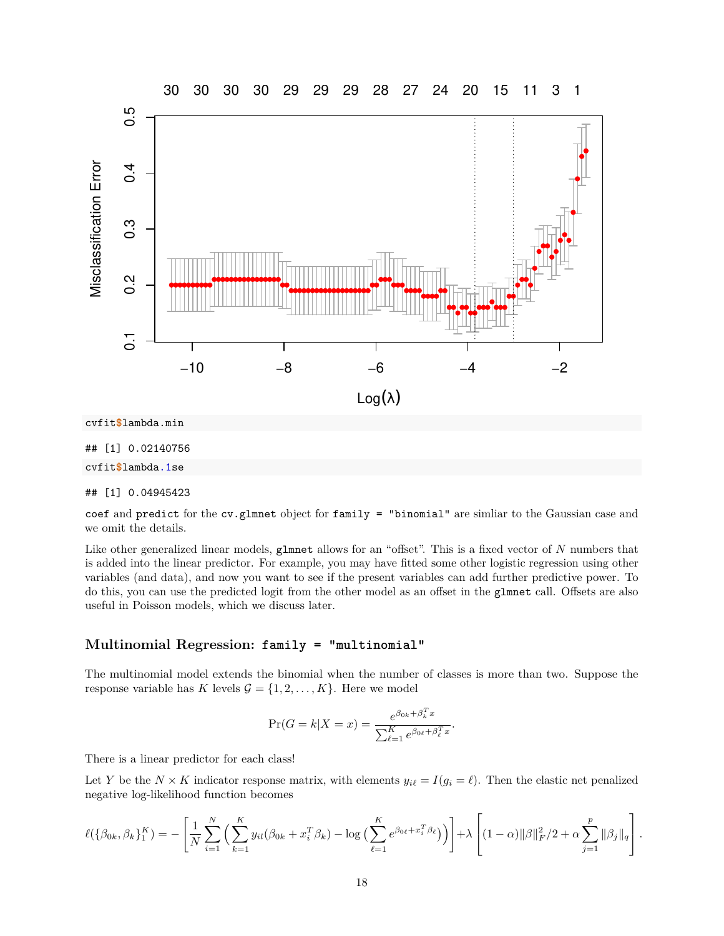

#### ## [1] 0.04945423

coef and predict for the cv.glmnet object for family = "binomial" are simliar to the Gaussian case and we omit the details.

Like other generalized linear models, glmnet allows for an "offset". This is a fixed vector of *N* numbers that is added into the linear predictor. For example, you may have fitted some other logistic regression using other variables (and data), and now you want to see if the present variables can add further predictive power. To do this, you can use the predicted logit from the other model as an offset in the glmnet call. Offsets are also useful in Poisson models, which we discuss later.

#### <span id="page-17-0"></span>**Multinomial Regression: family = "multinomial"**

The multinomial model extends the binomial when the number of classes is more than two. Suppose the response variable has *K* levels  $\mathcal{G} = \{1, 2, ..., K\}$ . Here we model

$$
\Pr(G = k | X = x) = \frac{e^{\beta_{0k} + \beta_k^T x}}{\sum_{\ell=1}^K e^{\beta_{0\ell} + \beta_\ell^T x}}.
$$

There is a linear predictor for each class!

Let *Y* be the  $N \times K$  indicator response matrix, with elements  $y_{i\ell} = I(g_i = \ell)$ . Then the elastic net penalized negative log-likelihood function becomes

$$
\ell(\{\beta_{0k}, \beta_k\}_{1}^K) = -\left[\frac{1}{N} \sum_{i=1}^N \left(\sum_{k=1}^K y_{il}(\beta_{0k} + x_i^T \beta_k) - \log\left(\sum_{\ell=1}^K e^{\beta_{0\ell} + x_i^T \beta_{\ell}}\right)\right)\right] + \lambda \left[ (1-\alpha) \|\beta\|_F^2 / 2 + \alpha \sum_{j=1}^p \|\beta_j\|_q \right].
$$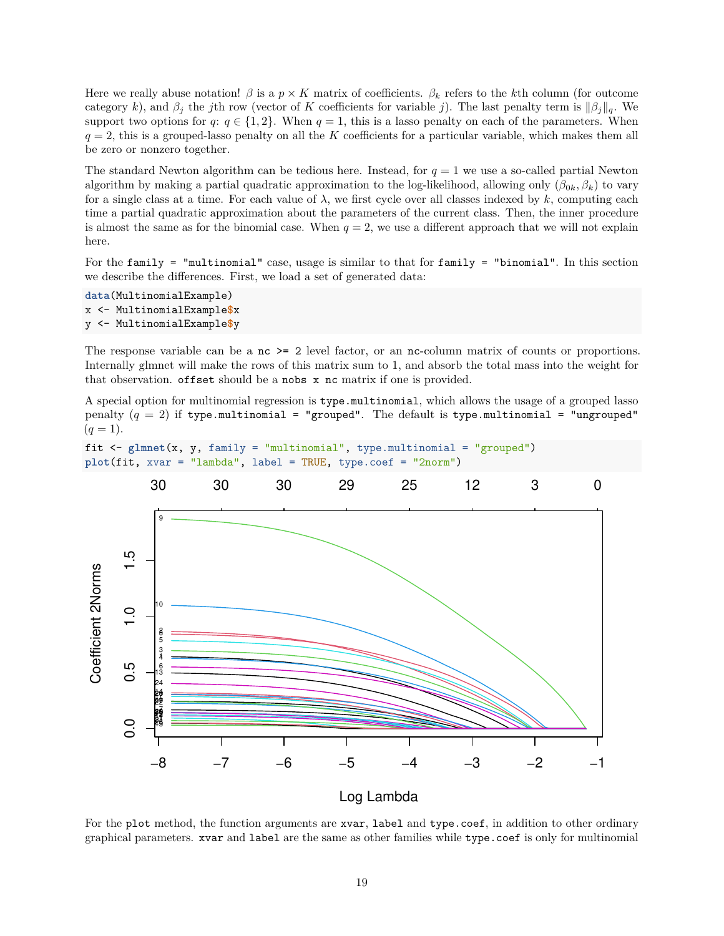Here we really abuse notation!  $\beta$  is a  $p \times K$  matrix of coefficients.  $\beta_k$  refers to the *k*th column (for outcome category *k*), and  $\beta_j$  the *j*th row (vector of *K* coefficients for variable *j*). The last penalty term is  $\|\beta_j\|_q$ . We support two options for  $q: q \in \{1,2\}$ . When  $q=1$ , this is a lasso penalty on each of the parameters. When  $q = 2$ , this is a grouped-lasso penalty on all the *K* coefficients for a particular variable, which makes them all be zero or nonzero together.

The standard Newton algorithm can be tedious here. Instead, for  $q = 1$  we use a so-called partial Newton algorithm by making a partial quadratic approximation to the log-likelihood, allowing only (*β*0*<sup>k</sup>, βk*) to vary for a single class at a time. For each value of  $\lambda$ , we first cycle over all classes indexed by k, computing each time a partial quadratic approximation about the parameters of the current class. Then, the inner procedure is almost the same as for the binomial case. When  $q = 2$ , we use a different approach that we will not explain here.

For the family = "multinomial" case, usage is similar to that for family = "binomial". In this section we describe the differences. First, we load a set of generated data:

```
data(MultinomialExample)
x <- MultinomialExample$x
y <- MultinomialExample$y
```
The response variable can be a nc  $\geq$  2 level factor, or an nc-column matrix of counts or proportions. Internally glmnet will make the rows of this matrix sum to 1, and absorb the total mass into the weight for that observation. offset should be a nobs x nc matrix if one is provided.

A special option for multinomial regression is type.multinomial, which allows the usage of a grouped lasso penalty  $(q = 2)$  if type.multinomial = "grouped". The default is type.multinomial = "ungrouped"  $(q = 1).$ 

```
fit <- glmnet(x, y, family = "multinomial", type.multinomial = "grouped")
plot(fit, xvar = "lambda", label = TRUE, type.coef = "2norm")
```


For the plot method, the function arguments are xvar, label and type.coef, in addition to other ordinary graphical parameters. xvar and label are the same as other families while type.coef is only for multinomial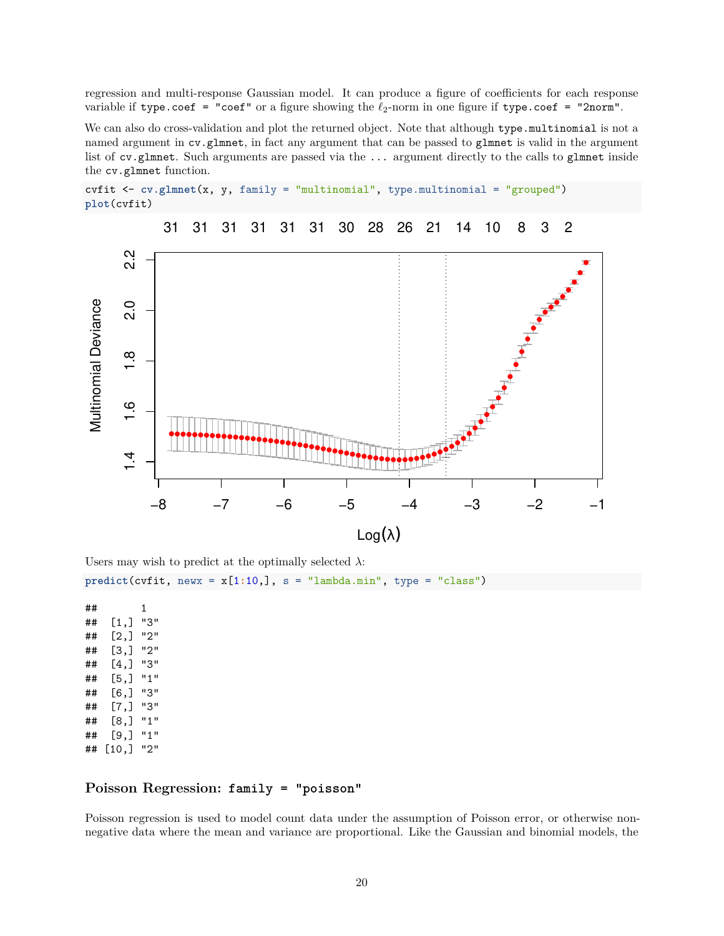regression and multi-response Gaussian model. It can produce a figure of coefficients for each response variable if type.coef = "coef" or a figure showing the *ℓ*2-norm in one figure if type.coef = "2norm".

We can also do cross-validation and plot the returned object. Note that although type.multinomial is not a named argument in cv.glmnet, in fact any argument that can be passed to glmnet is valid in the argument list of cv.glmnet. Such arguments are passed via the ... argument directly to the calls to gluent inside the cv.glmnet function.





Users may wish to predict at the optimally selected  $\lambda$ :

 $predict(cvfit, newx = x[1:10,], s = "lambda.min", type = "class")$ 

## 1 ## [1,] "3" ## [2,] "2" ## [3,] "2" ## [4,] "3" ## [5,] "1" ## [6,] "3" ## [7,] "3" ## [8,] "1" ## [9,] "1" ## [10,] "2"

# <span id="page-19-0"></span>**Poisson Regression: family = "poisson"**

Poisson regression is used to model count data under the assumption of Poisson error, or otherwise nonnegative data where the mean and variance are proportional. Like the Gaussian and binomial models, the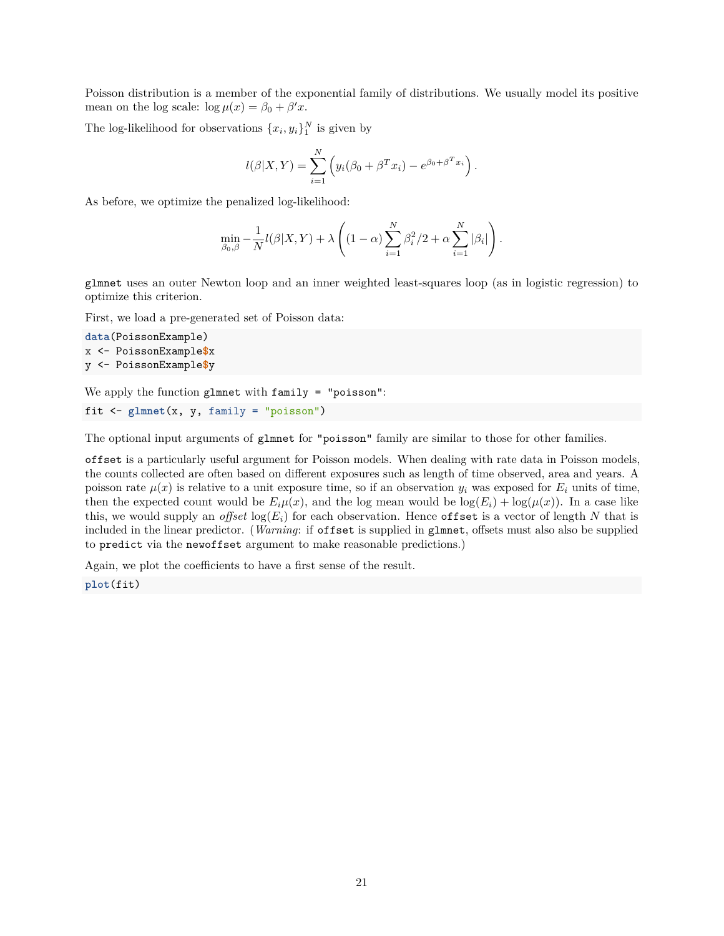Poisson distribution is a member of the exponential family of distributions. We usually model its positive mean on the log scale:  $\log \mu(x) = \beta_0 + \beta' x$ .

The log-likelihood for observations  $\{x_i, y_i\}^N$  is given by

$$
l(\beta|X,Y) = \sum_{i=1}^{N} (y_i(\beta_0 + \beta^T x_i) - e^{\beta_0 + \beta^T x_i}).
$$

As before, we optimize the penalized log-likelihood:

$$
\min_{\beta_0, \beta} -\frac{1}{N} l(\beta | X, Y) + \lambda \left( (1 - \alpha) \sum_{i=1}^N \beta_i^2 / 2 + \alpha \sum_{i=1}^N |\beta_i| \right).
$$

glmnet uses an outer Newton loop and an inner weighted least-squares loop (as in logistic regression) to optimize this criterion.

First, we load a pre-generated set of Poisson data:

```
data(PoissonExample)
x <- PoissonExample$x
y <- PoissonExample$y
```
We apply the function glmnet with family = "poisson":

```
fit <- glmnet(x, y, family = "poisson")
```
The optional input arguments of glmnet for "poisson" family are similar to those for other families.

offset is a particularly useful argument for Poisson models. When dealing with rate data in Poisson models, the counts collected are often based on different exposures such as length of time observed, area and years. A poisson rate  $\mu(x)$  is relative to a unit exposure time, so if an observation  $y_i$  was exposed for  $E_i$  units of time, then the expected count would be  $E_i\mu(x)$ , and the log mean would be  $log(E_i) + log(\mu(x))$ . In a case like this, we would supply an *offset*  $log(E_i)$  for each observation. Hence offset is a vector of length N that is included in the linear predictor. (*Warning*: if offset is supplied in glmnet, offsets must also also be supplied to predict via the newoffset argument to make reasonable predictions.)

Again, we plot the coefficients to have a first sense of the result.

**plot**(fit)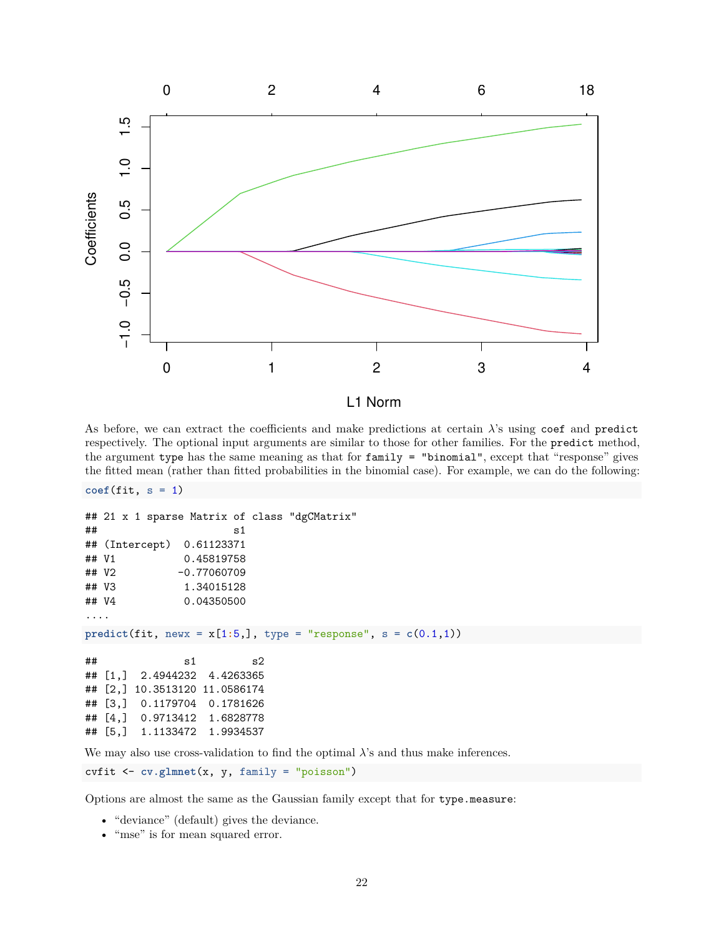

L1 Norm

As before, we can extract the coefficients and make predictions at certain *λ*'s using coef and predict respectively. The optional input arguments are similar to those for other families. For the predict method, the argument type has the same meaning as that for family = "binomial", except that "response" gives the fitted mean (rather than fitted probabilities in the binomial case). For example, we can do the following:

```
\text{coeff}(\text{fit}, s = 1)
```

```
## 21 x 1 sparse Matrix of class "dgCMatrix"
\# s1
## (Intercept) 0.61123371
## V1 0.45819758
## V2 -0.77060709
## V3 1.34015128
## V4 0.04350500
....
predict(fit, newx = x[1:5,], type = "response", s = c(0.1,1))
\# \# s1 s2
## [1,] 2.4944232 4.4263365
## [2,] 10.3513120 11.0586174
## [3,] 0.1179704 0.1781626
## [4,] 0.9713412 1.6828778
## [5,] 1.1133472 1.9934537
```
We may also use cross-validation to find the optimal  $\lambda$ 's and thus make inferences.

cvfit <- **cv.glmnet**(x, y, family = "poisson")

Options are almost the same as the Gaussian family except that for type.measure:

- "deviance" (default) gives the deviance.
- "mse" is for mean squared error.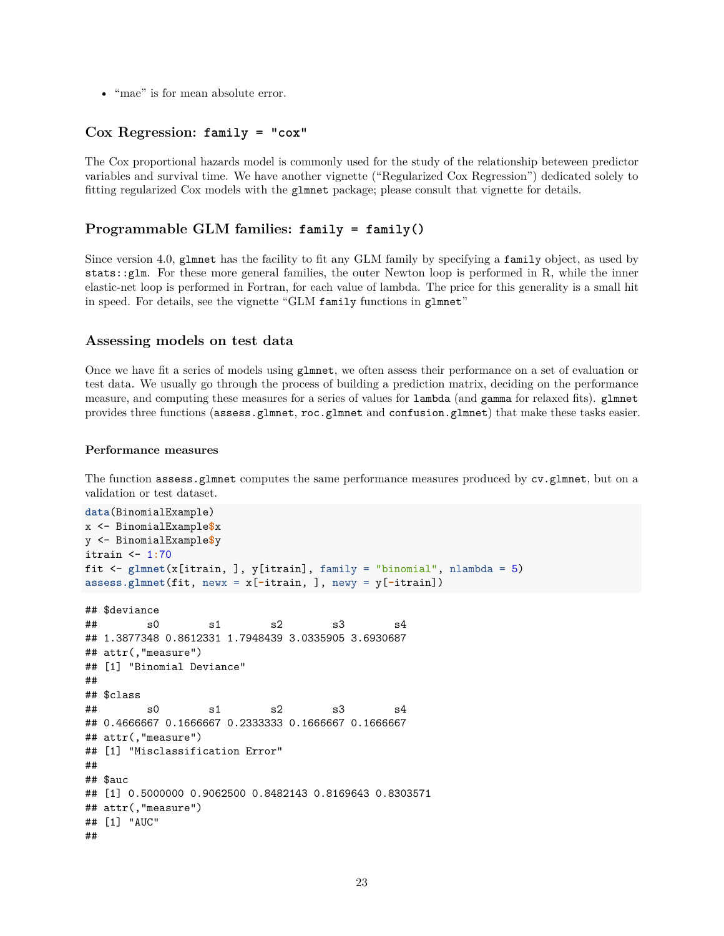• "mae" is for mean absolute error.

# <span id="page-22-0"></span>**Cox Regression: family = "cox"**

The Cox proportional hazards model is commonly used for the study of the relationship beteween predictor variables and survival time. We have another vignette [\("Regularized Cox Regression"\)](https://glmnet.stanford.edu/articles/Coxnet.html) dedicated solely to fitting regularized Cox models with the glmnet package; please consult that vignette for details.

# <span id="page-22-1"></span>**Programmable GLM families: family = family()**

Since version 4.0, glmnet has the facility to fit any GLM family by specifying a family object, as used by stats::glm. For these more general families, the outer Newton loop is performed in R, while the inner elastic-net loop is performed in Fortran, for each value of lambda. The price for this generality is a small hit in speed. For details, see the vignette "GLM family [functions in](https://glmnet.stanford.edu/articles/glmnetFamily.html) glmnet"

# <span id="page-22-2"></span>**Assessing models on test data**

Once we have fit a series of models using glmnet, we often assess their performance on a set of evaluation or test data. We usually go through the process of building a prediction matrix, deciding on the performance measure, and computing these measures for a series of values for lambda (and gamma for relaxed fits). glmnet provides three functions (assess.glmnet, roc.glmnet and confusion.glmnet) that make these tasks easier.

#### <span id="page-22-3"></span>**Performance measures**

The function assess.glmnet computes the same performance measures produced by cv.glmnet, but on a validation or test dataset.

```
data(BinomialExample)
x <- BinomialExample$x
y <- BinomialExample$y
itrain <- 1:70
fit <- glmnet(x[itrain, ], y[itrain], family = "binomial", nlambda = 5)
assess.glmnet(fit, newx = x[-itrain, ], newy = y[-itrain])
## $deviance
## s0 s1 s2 s3 s4
## 1.3877348 0.8612331 1.7948439 3.0335905 3.6930687
## attr(,"measure")
## [1] "Binomial Deviance"
##
## $class
## s0 s1 s2 s3 s4
## 0.4666667 0.1666667 0.2333333 0.1666667 0.1666667
## attr(,"measure")
## [1] "Misclassification Error"
##
## $auc
## [1] 0.5000000 0.9062500 0.8482143 0.8169643 0.8303571
## attr(,"measure")
## [1] "AUC"
##
```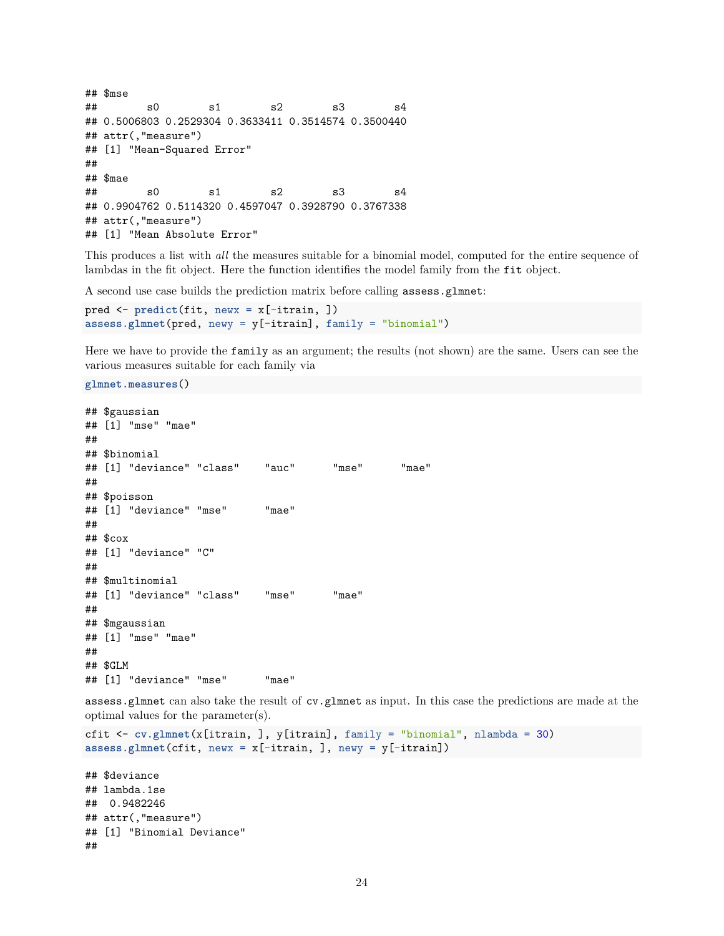```
## $mse
## s0 s1 s2 s3 s4
## 0.5006803 0.2529304 0.3633411 0.3514574 0.3500440
## attr(,"measure")
## [1] "Mean-Squared Error"
##
## $mae
## s0 s1 s2 s3 s4
## 0.9904762 0.5114320 0.4597047 0.3928790 0.3767338
## attr(,"measure")
## [1] "Mean Absolute Error"
```
This produces a list with *all* the measures suitable for a binomial model, computed for the entire sequence of lambdas in the fit object. Here the function identifies the model family from the fit object.

A second use case builds the prediction matrix before calling assess.glmnet:

```
pred <- predict(fit, newx = x[-itrain, ])
assess.glmnet(pred, newy = y[-itrain], family = "binomial")
```
Here we have to provide the family as an argument; the results (not shown) are the same. Users can see the various measures suitable for each family via

**glmnet.measures**()

```
## $gaussian
## [1] "mse" "mae"
##
## $binomial
## [1] "deviance" "class" "auc" "mse" "mae"
##
## $poisson
## [1] "deviance" "mse" "mae"
##
## $cox
## [1] "deviance" "C"
##
## $multinomial
## [1] "deviance" "class" "mse" "mae"
##
## $mgaussian
## [1] "mse" "mae"
##
## $GLM
## [1] "deviance" "mse" "mae"
```
assess.glmnet can also take the result of cv.glmnet as input. In this case the predictions are made at the optimal values for the parameter(s).

```
cfit <- cv.glmnet(x[itrain, ], y[itrain], family = "binomial", nlambda = 30)
assess.glmnet(cfit, newx = x[-itrain, ], newy = y[-itrain])
```
## \$deviance ## lambda.1se ## 0.9482246 ## attr(,"measure") ## [1] "Binomial Deviance" ##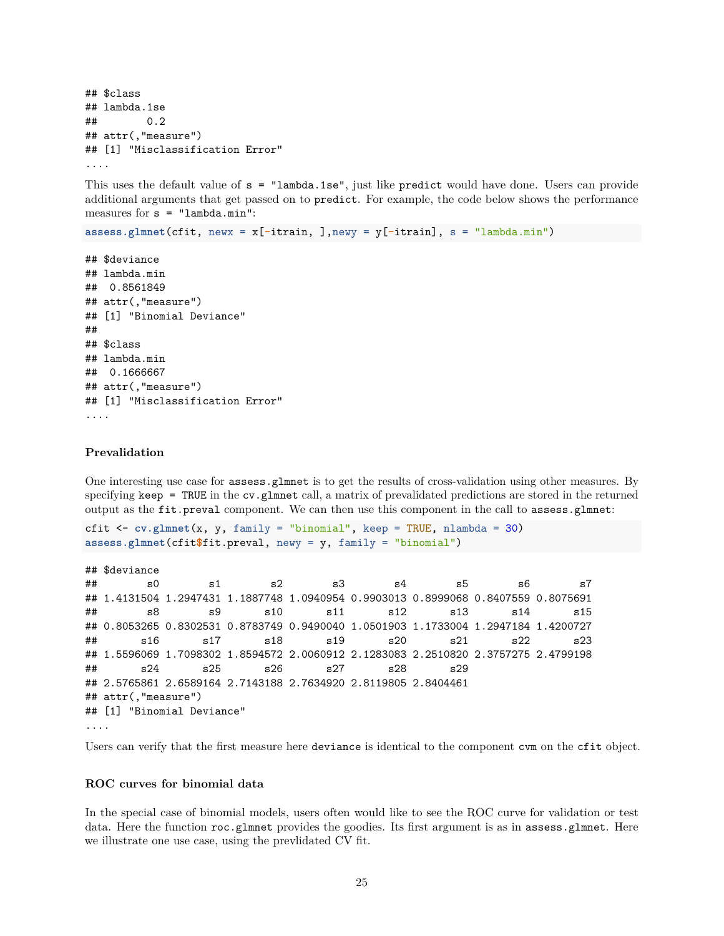```
## $class
## lambda.1se
## 0.2
## attr(,"measure")
## [1] "Misclassification Error"
....
```
This uses the default value of s = "lambda.1se", just like predict would have done. Users can provide additional arguments that get passed on to predict. For example, the code below shows the performance measures for  $s = "lambda.min":$ 

**assess.glmnet**(cfit, newx = x[**-**itrain, ],newy = y[**-**itrain], s = "lambda.min")

```
## $deviance
## lambda.min
## 0.8561849
## attr(,"measure")
## [1] "Binomial Deviance"
##
## $class
## lambda.min
## 0.1666667
## attr(,"measure")
## [1] "Misclassification Error"
....
```
### <span id="page-24-0"></span>**Prevalidation**

One interesting use case for assess.glmnet is to get the results of cross-validation using other measures. By specifying keep = TRUE in the cv.glmnet call, a matrix of prevalidated predictions are stored in the returned output as the fit.preval component. We can then use this component in the call to assess.glmnet:

```
cfit \leq cv.glmnet(x, y, family = "binomial", keep = TRUE, nlambda = 30)
assess.glmnet(cfit$fit.preval, newy = y, family = "binomial")
```

```
## $deviance
## s0 s1 s2 s3 s4 s5 s6 s7
## 1.4131504 1.2947431 1.1887748 1.0940954 0.9903013 0.8999068 0.8407559 0.8075691
## s8 s9 s10 s11 s12 s13 s14 s15
## 0.8053265 0.8302531 0.8783749 0.9490040 1.0501903 1.1733004 1.2947184 1.4200727
## s16 s17 s18 s19 s20 s21 s22 s23
## 1.5596069 1.7098302 1.8594572 2.0060912 2.1283083 2.2510820 2.3757275 2.4799198
## s24 s25 s26 s27 s28 s29
## 2.5765861 2.6589164 2.7143188 2.7634920 2.8119805 2.8404461
## attr(,"measure")
## [1] "Binomial Deviance"
....
```
Users can verify that the first measure here deviance is identical to the component cvm on the cfit object.

#### <span id="page-24-1"></span>**ROC curves for binomial data**

In the special case of binomial models, users often would like to see the ROC curve for validation or test data. Here the function roc.glmnet provides the goodies. Its first argument is as in assess.glmnet. Here we illustrate one use case, using the prevlidated CV fit.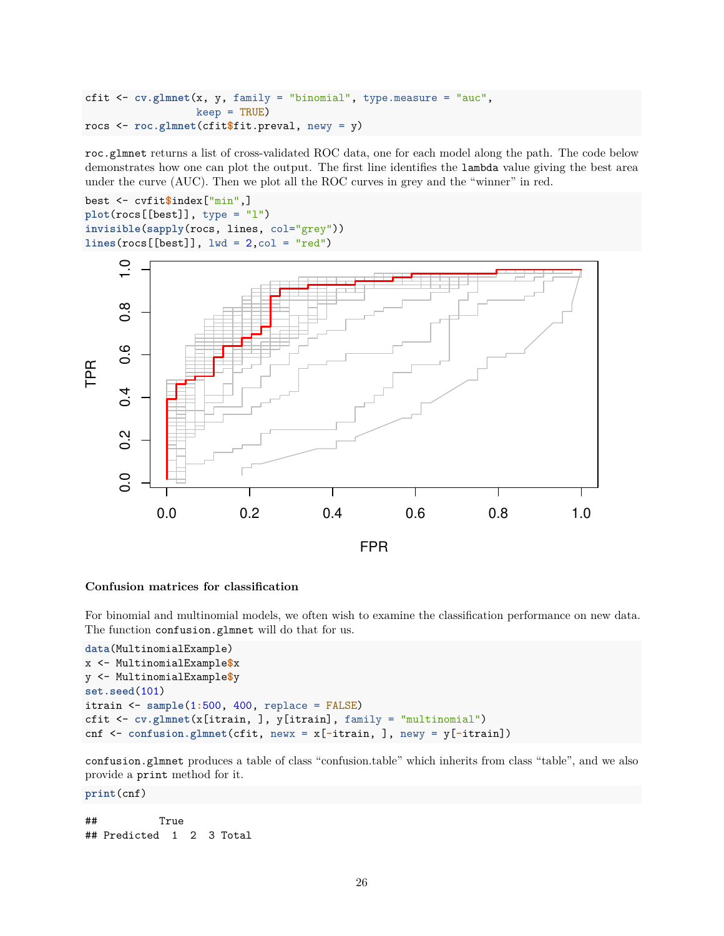```
cfit <- cv.glmnet(x, y, family = "binomial", type.measure = "auc",
                  keep = TRUE)
rocs <- roc.glmnet(cfit$fit.preval, newy = y)
```
roc.glmnet returns a list of cross-validated ROC data, one for each model along the path. The code below demonstrates how one can plot the output. The first line identifies the lambda value giving the best area under the curve (AUC). Then we plot all the ROC curves in grey and the "winner" in red.

```
best <- cvfit$index["min",]
plot(rocs[[best]], type = "l")
invisible(sapply(rocs, lines, col="grey"))
lines(rocs[[best]], lwd = 2,col = "red")
```


### <span id="page-25-0"></span>**Confusion matrices for classification**

For binomial and multinomial models, we often wish to examine the classification performance on new data. The function confusion.glmnet will do that for us.

```
data(MultinomialExample)
x <- MultinomialExample$x
y <- MultinomialExample$y
set.seed(101)
itrain <- sample(1:500, 400, replace = FALSE)
cfit <- cv.glmnet(x[itrain, ], y[itrain], family = "multinomial")
cnf <- confusion.glmnet(cfit, newx = x[-itrain, ], newy = y[-itrain])
```
confusion.glmnet produces a table of class "confusion.table" which inherits from class "table", and we also provide a print method for it.

#### **print**(cnf)

## True ## Predicted 1 2 3 Total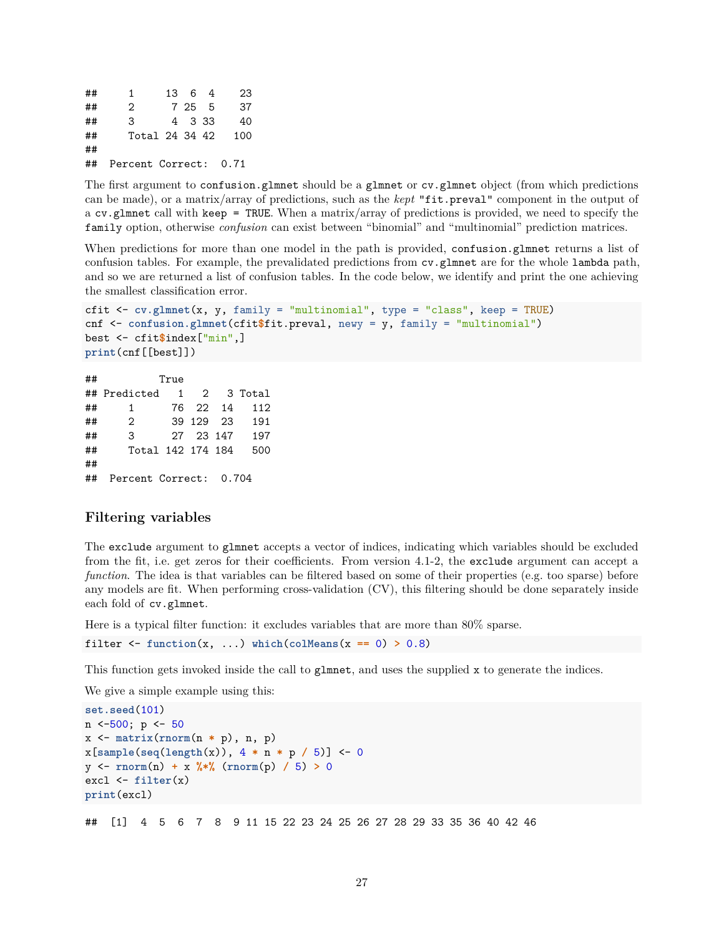## 1 13 6 4 23 ## 2 7 25 5 37 ## 3 4 3 33 40 ## Total 24 34 42 100 ## ## Percent Correct: 0.71

The first argument to confusion.glmnet should be a glmnet or cv.glmnet object (from which predictions can be made), or a matrix/array of predictions, such as the *kept* "fit.preval" component in the output of a cv.glmnet call with keep = TRUE. When a matrix/array of predictions is provided, we need to specify the family option, otherwise *confusion* can exist between "binomial" and "multinomial" prediction matrices.

When predictions for more than one model in the path is provided, confusion.glmnet returns a list of confusion tables. For example, the prevalidated predictions from cv.glmnet are for the whole lambda path, and so we are returned a list of confusion tables. In the code below, we identify and print the one achieving the smallest classification error.

```
cfit <- cv.glmnet(x, y, family = "multinomial", type = "class", keep = TRUE)
cnf <- confusion.glmnet(cfit$fit.preval, newy = y, family = "multinomial")
best <- cfit$index["min",]
print(cnf[[best]])
```
## True ## Predicted 1 2 3 Total ## 1 76 22 14 112 ## 2 39 129 23 191 ## 3 27 23 147 197 ## Total 142 174 184 500 ## ## Percent Correct: 0.704

# <span id="page-26-0"></span>**Filtering variables**

The exclude argument to glmnet accepts a vector of indices, indicating which variables should be excluded from the fit, i.e. get zeros for their coefficients. From version 4.1-2, the exclude argument can accept a *function*. The idea is that variables can be filtered based on some of their properties (e.g. too sparse) before any models are fit. When performing cross-validation (CV), this filtering should be done separately inside each fold of cv.glmnet.

Here is a typical filter function: it excludes variables that are more than 80% sparse.

```
filter \leq function(x, ...) which(colMeans(x == 0) > 0.8)
```
This function gets invoked inside the call to glmnet, and uses the supplied x to generate the indices.

We give a simple example using this:

```
set.seed(101)
n \le -500; p \le -50x <- matrix(rnorm(n * p), n, p)
x[sample(seq(length(x)), 4 * n * p / 5)] <- 0
y <- rnorm(n) + x %*% (rnorm(p) / 5) > 0
excl <- filter(x)
print(excl)
```
## [1] 4 5 6 7 8 9 11 15 22 23 24 25 26 27 28 29 33 35 36 40 42 46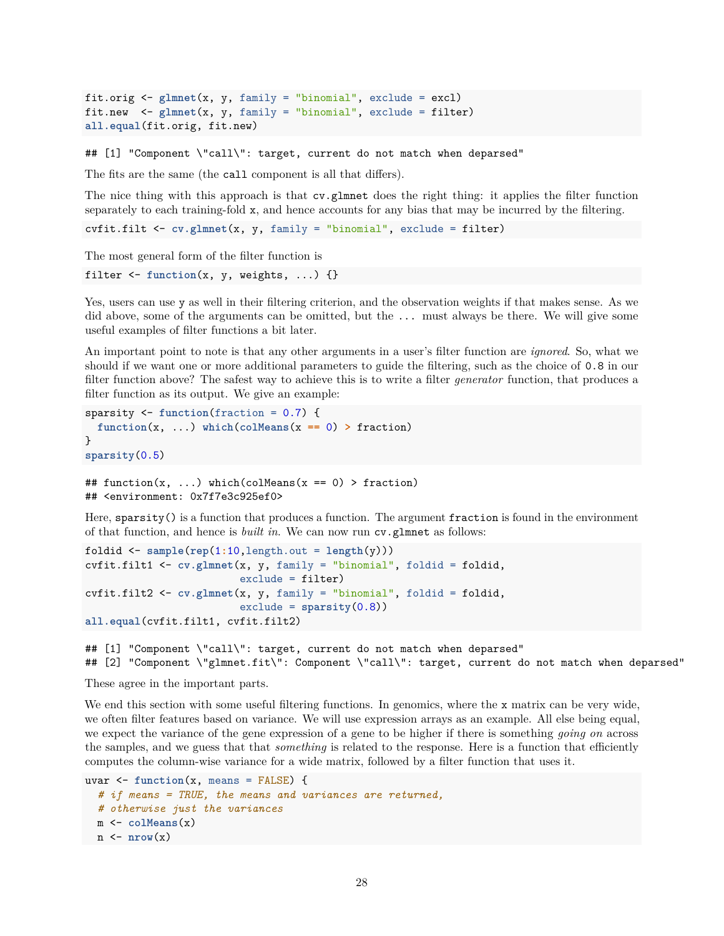```
fit.orig <- glmnet(x, y, family = "binomial", exclude = excl)
fit.new <- glmnet(x, y, family = "binomial", exclude = filter)
all.equal(fit.orig, fit.new)
```
## [1] "Component \"call\": target, current do not match when deparsed"

The fits are the same (the call component is all that differs).

The nice thing with this approach is that cv.glmnet does the right thing: it applies the filter function separately to each training-fold x, and hence accounts for any bias that may be incurred by the filtering.

cvfit.filt <- **cv.glmnet**(x, y, family = "binomial", exclude = filter)

The most general form of the filter function is

filter <- **function**(x, y, weights, ...) {}

Yes, users can use y as well in their filtering criterion, and the observation weights if that makes sense. As we did above, some of the arguments can be omitted, but the ... must always be there. We will give some useful examples of filter functions a bit later.

An important point to note is that any other arguments in a user's filter function are *ignored*. So, what we should if we want one or more additional parameters to guide the filtering, such as the choice of 0.8 in our filter function above? The safest way to achieve this is to write a filter *generator* function, that produces a filter function as its output. We give an example:

```
sparsity <- function(fraction = 0.7) {
  function(x, ...) which(colMeans(x == 0) > fraction)
}
sparsity(0.5)
## function(x, ...) which(colMeans(x == 0) > fraction)
## <environment: 0x7f7e3c925ef0>
```
Here, sparsity() is a function that produces a function. The argument fraction is found in the environment of that function, and hence is *built in*. We can now run cv.glmnet as follows:

```
foldid \leq sample(\text{rep}(1:10, \text{length.out} = \text{length}(y)))cvfit.filt1 <- cv.glmnet(x, y, family = "binomial", foldid = foldid,
                           exclude = filter)
cvfit.filt2 <- cv.glmnet(x, y, family = "binomial", foldid = foldid,
                           exclude = sparsity(0.8))
all.equal(cvfit.filt1, cvfit.filt2)
```
## [1] "Component \"call\": target, current do not match when deparsed" ## [2] "Component \"glmnet.fit\": Component \"call\": target, current do not match when deparsed"

These agree in the important parts.

We end this section with some useful filtering functions. In genomics, where the x matrix can be very wide, we often filter features based on variance. We will use expression arrays as an example. All else being equal, we expect the variance of the gene expression of a gene to be higher if there is something *going on* across the samples, and we guess that that *something* is related to the response. Here is a function that efficiently computes the column-wise variance for a wide matrix, followed by a filter function that uses it.

```
uvar \leq function(x, \text{ means } = \text{FALSE}) {
  # if means = TRUE, the means and variances are returned,
  # otherwise just the variances
  m <- colMeans(x)
  n \leftarrow \text{nrow}(x)
```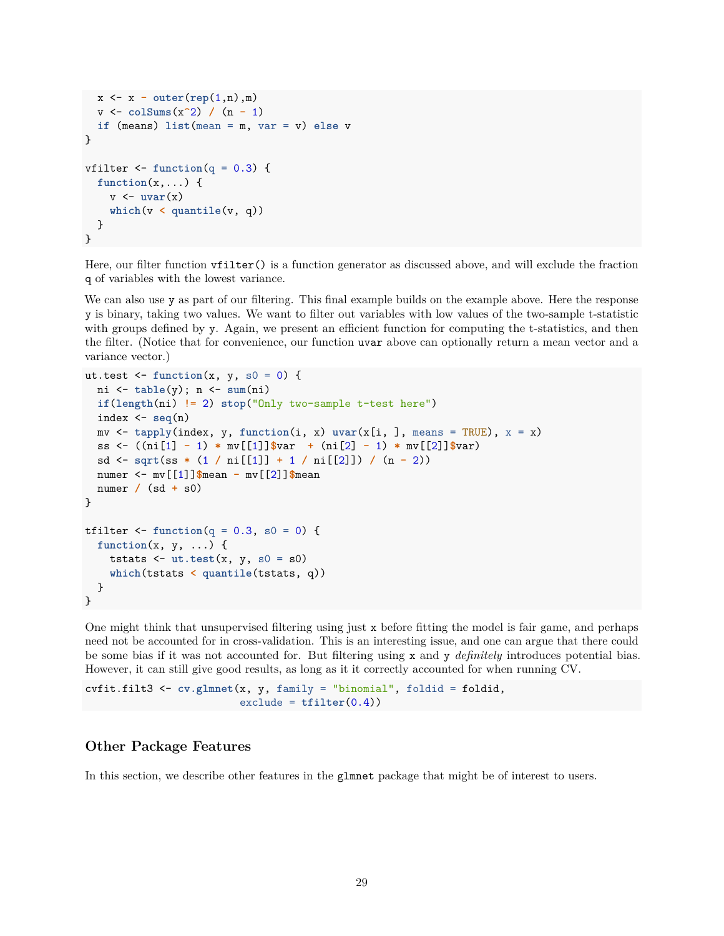```
x <- x - outer(rep(1,n),m)
  v <- colSums(x^2) / (n - 1)
  if (means) list(mean = m, var = v) else v
}
vfilter \le function(q = 0.3) {
  function(x,...) {
    v \leftarrow uvar(x)which(v < quantile(v, q))
  }
}
```
Here, our filter function vfilter() is a function generator as discussed above, and will exclude the fraction q of variables with the lowest variance.

We can also use y as part of our filtering. This final example builds on the example above. Here the response y is binary, taking two values. We want to filter out variables with low values of the two-sample t-statistic with groups defined by y. Again, we present an efficient function for computing the t-statistics, and then the filter. (Notice that for convenience, our function uvar above can optionally return a mean vector and a variance vector.)

```
ut.test \le function(x, y, s0 = 0) {
  ni <- table(y); n <- sum(ni)
  if(length(ni) != 2) stop("Only two-sample t-test here")
  index <- seq(n)
  mv \leq tapply(index, y, function(i, x) \text{uvar}(x[i, j], \text{means} = \text{TRUE}), x = x)
  ss <- ((ni[1] - 1) * mv[[1]]$var + (ni[2] - 1) * mv[[2]]$var)
  sd <- sqrt(ss * (1 / ni[[1]] + 1 / ni[[2]]) / (n - 2))
  numer <- mv[[1]]$mean - mv[[2]]$mean
  numer / (sd + s0)
}
tfilter \le function(q = 0.3, s0 = 0) {
  function(x, y, ...) {
    tstats \leftarrow ut.test(x, y, s0 = s0)which(tstats < quantile(tstats, q))
  }
}
```
One might think that unsupervised filtering using just x before fitting the model is fair game, and perhaps need not be accounted for in cross-validation. This is an interesting issue, and one can argue that there could be some bias if it was not accounted for. But filtering using x and y *definitely* introduces potential bias. However, it can still give good results, as long as it it correctly accounted for when running CV.

cvfit.filt3 <- **cv.glmnet**(x, y, family = "binomial", foldid = foldid, exclude = **tfilter**(0.4))

# <span id="page-28-0"></span>**Other Package Features**

In this section, we describe other features in the glmnet package that might be of interest to users.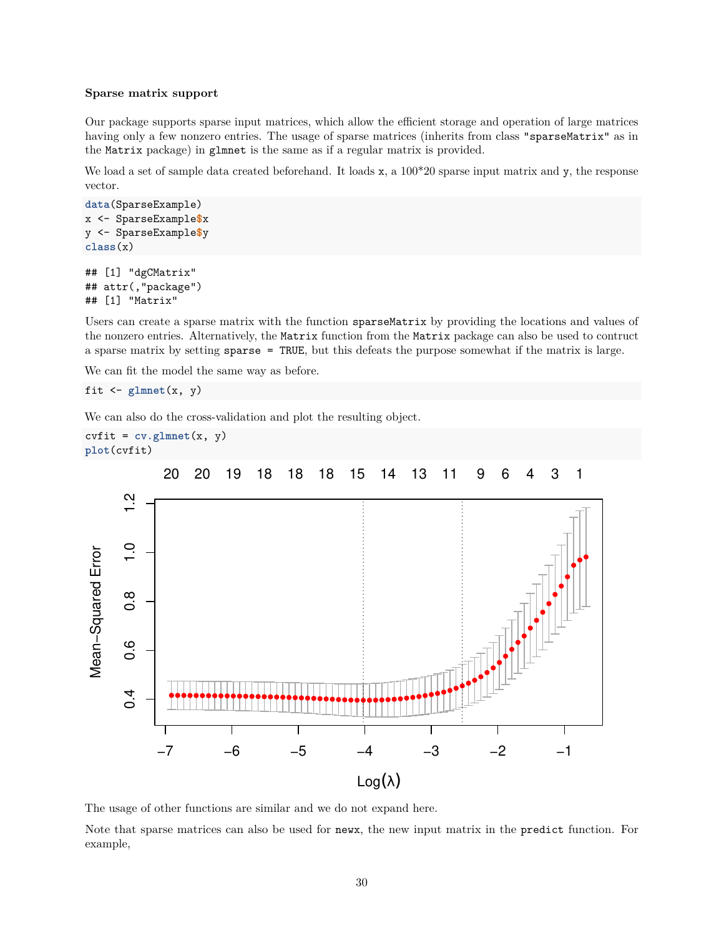#### <span id="page-29-0"></span>**Sparse matrix support**

Our package supports sparse input matrices, which allow the efficient storage and operation of large matrices having only a few nonzero entries. The usage of sparse matrices (inherits from class "sparseMatrix" as in the Matrix package) in glmnet is the same as if a regular matrix is provided.

We load a set of sample data created beforehand. It loads x, a  $100*20$  sparse input matrix and y, the response vector.

```
data(SparseExample)
x <- SparseExample$x
y <- SparseExample$y
class(x)
```

```
## [1] "dgCMatrix"
## attr(,"package")
## [1] "Matrix"
```
Users can create a sparse matrix with the function sparseMatrix by providing the locations and values of the nonzero entries. Alternatively, the Matrix function from the Matrix package can also be used to contruct a sparse matrix by setting sparse = TRUE, but this defeats the purpose somewhat if the matrix is large.

We can fit the model the same way as before.

fit  $\leftarrow$  glmnet $(x, y)$ 

We can also do the cross-validation and plot the resulting object.

```
\text{c}\text{v}\text{fit} = \text{cv}\text{.g}\text{l}\text{m}\text{net}(\text{x}, \text{y})plot(cvfit)
```


The usage of other functions are similar and we do not expand here.

Note that sparse matrices can also be used for newx, the new input matrix in the predict function. For example,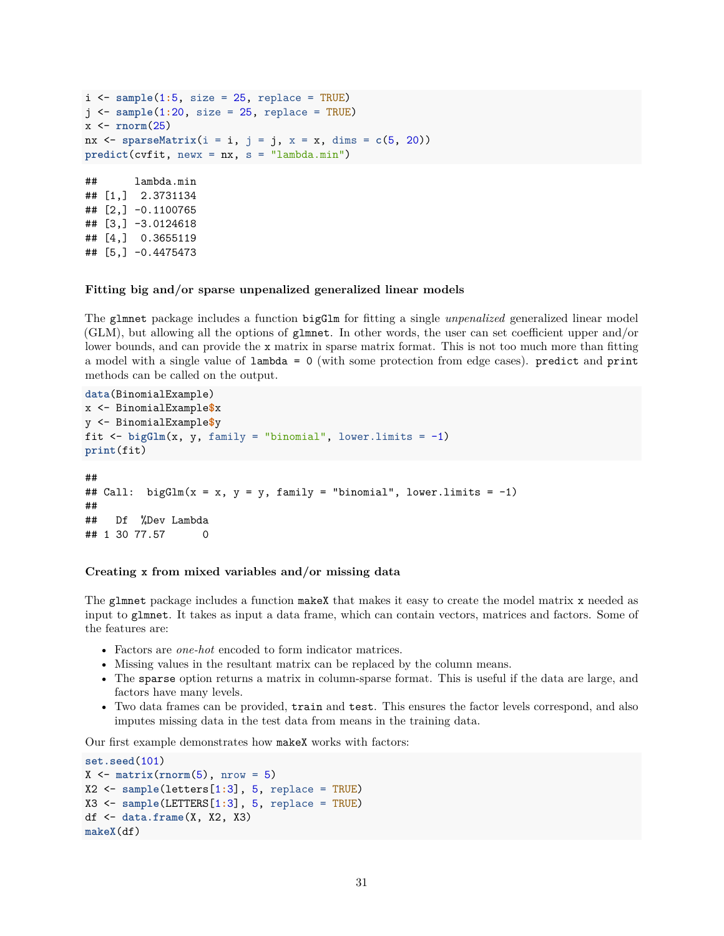```
i <- sample(1:5, size = 25, replace = TRUE)
j <- sample(1:20, size = 25, replace = TRUE)
x <- rnorm(25)
nx \leq sparseMatrix(i = i, j = j, x = x, dims = c(5, 20))
predict(cvfit, newx = nx, s = "lambda.min")
## lambda.min
## [1,] 2.3731134
## [2,] -0.1100765
## [3,] -3.0124618
## [4,] 0.3655119
## [5,] -0.4475473
```
#### <span id="page-30-0"></span>**Fitting big and/or sparse unpenalized generalized linear models**

The glmnet package includes a function bigGlm for fitting a single *unpenalized* generalized linear model (GLM), but allowing all the options of glmnet. In other words, the user can set coefficient upper and/or lower bounds, and can provide the x matrix in sparse matrix format. This is not too much more than fitting a model with a single value of lambda = 0 (with some protection from edge cases). predict and print methods can be called on the output.

```
data(BinomialExample)
x <- BinomialExample$x
y <- BinomialExample$y
fit \leq bigGlm(x, y, family = "binomial", lower.limits = -1)
print(fit)
##
## Call: bigGlm(x = x, y = y, family = "binomial", lower.limits = -1)
##
## Df %Dev Lambda
## 1 30 77.57 0
```
#### <span id="page-30-1"></span>**Creating x from mixed variables and/or missing data**

The glmnet package includes a function makeX that makes it easy to create the model matrix x needed as input to glmnet. It takes as input a data frame, which can contain vectors, matrices and factors. Some of the features are:

- Factors are *one-hot* encoded to form indicator matrices.
- Missing values in the resultant matrix can be replaced by the column means.
- The sparse option returns a matrix in column-sparse format. This is useful if the data are large, and factors have many levels.
- Two data frames can be provided, train and test. This ensures the factor levels correspond, and also imputes missing data in the test data from means in the training data.

Our first example demonstrates how makeX works with factors:

```
set.seed(101)
X \leftarrow \text{matrix}(\text{rnorm}(5), \text{nrow} = 5)X2 <- sample(letters[1:3], 5, replace = TRUE)
X3 <- sample(LETTERS[1:3], 5, replace = TRUE)
df <- data.frame(X, X2, X3)
makeX(df)
```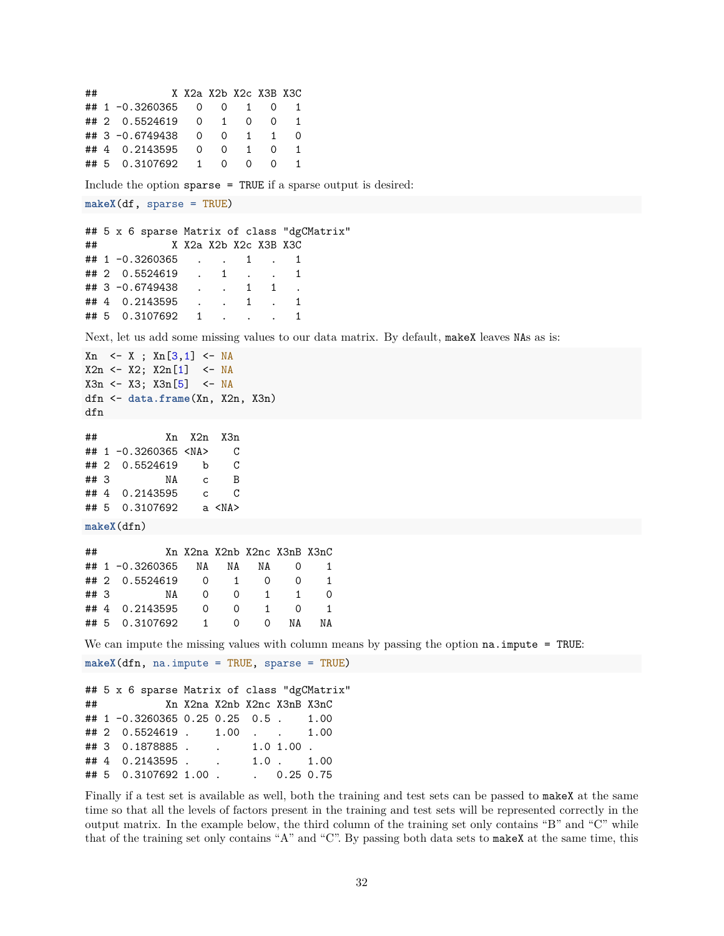```
## X X2a X2b X2c X3B X3C
## 1 -0.3260365 0 0 1 0 1
## 2 0.5524619 0 1 0 0 1
## 3 -0.6749438 0 0 1 1 0
## 4 0.2143595 0 0 1 0 1
## 5 0.3107692 1 0 0 0 1
Include the option sparse = TRUE if a sparse output is desired:
makeX(df, sparse = TRUE)
## 5 x 6 sparse Matrix of class "dgCMatrix"
## X X2a X2b X2c X3B X3C
## 1 -0.3260365 . . 1 . 1
## 2 0.5524619 . 1 . . 1
## 3 -0.6749438 . . 1 1 .
## 4 0.2143595 . . 1 . 1
## 5 0.3107692 1 . . . 1
Next, let us add some missing values to our data matrix. By default, makeX leaves NAs as is:
Xn \leq X ; Xn[3,1] \leq NAX2n \leq X2; X2n[1] \leq -NAX3n <- X3; X3n[5] <- NA
dfn <- data.frame(Xn, X2n, X3n)
dfn
## Xn X2n X3n
## 1 -0.3260365 <NA> C
## 2 0.5524619 b C
## 3 NA c B
## 4 0.2143595 c C
## 5 0.3107692 a <NA>
makeX(dfn)
## Xn X2na X2nb X2nc X3nB X3nC
## 1 -0.3260365 NA NA NA 0 1
## 2 0.5524619 0 1 0 0 1
## 3 NA 0 0 1 1 0
## 4 0.2143595 0 0 1 0 1
## 5 0.3107692 1 0 0 NA NA
We can impute the missing values with column means by passing the option na. impute = TRUE:
makeX(dfn, na.impute = TRUE, sparse = TRUE)
## 5 x 6 sparse Matrix of class "dgCMatrix"
## Xn X2na X2nb X2nc X3nB X3nC
## 1 -0.3260365 0.25 0.25 0.5 . 1.00
## 2 0.5524619 . 1.00 . . 1.00
## 3 0.1878885 . . 1.0 1.00 .
## 4 0.2143595 . . 1.0 . 1.00
## 5 0.3107692 1.00 . . 0.25 0.75
```
Finally if a test set is available as well, both the training and test sets can be passed to makeX at the same time so that all the levels of factors present in the training and test sets will be represented correctly in the output matrix. In the example below, the third column of the training set only contains "B" and "C" while that of the training set only contains "A" and "C". By passing both data sets to makeX at the same time, this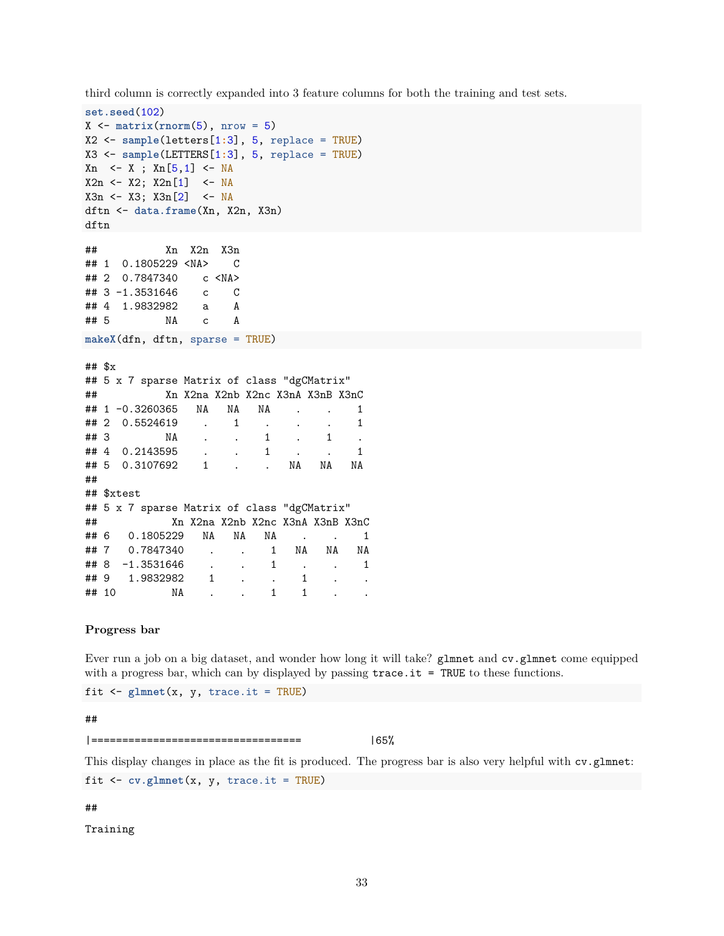third column is correctly expanded into 3 feature columns for both the training and test sets.

```
set.seed(102)
X \leftarrow \text{matrix}(\text{rnorm}(5), \text{nrow} = 5)X2 <- sample(letters[1:3], 5, replace = TRUE)
X3 <- sample(LETTERS[1:3], 5, replace = TRUE)
Xn <- X ; Xn[5,1] <- NA
X2n <- X2; X2n[1] <- NA
X3n <- X3; X3n[2] <- NA
dftn <- data.frame(Xn, X2n, X3n)
dftn
## Xn X2n X3n
## 1 0.1805229 <NA> C
## 2 0.7847340 c <NA>
## 3 -1.3531646 c C
## 4 1.9832982 a A
## 5 NA c A
makeX(dfn, dftn, sparse = TRUE)
## $x
## 5 x 7 sparse Matrix of class "dgCMatrix"
## Xn X2na X2nb X2nc X3nA X3nB X3nC
## 1 -0.3260365 NA NA NA . . 1
## 2 0.5524619 . 1 . . . 1
## 3 NA . . 1 . 1 .
## 4 0.2143595 . . 1 . . 1
## 5 0.3107692 1 . . NA NA NA
##
## $xtest
## 5 x 7 sparse Matrix of class "dgCMatrix"
## Xn X2na X2nb X2nc X3nA X3nB X3nC
## 6 0.1805229 NA NA NA . . 1
## 7 0.7847340 . . 1 NA NA NA
## 8 -1.3531646 . . 1 . . 1
## 9 1.9832982 1 . . 1 . .
## 10 MA . . 1 1 . .
```
#### <span id="page-32-0"></span>**Progress bar**

Ever run a job on a big dataset, and wonder how long it will take? glmnet and cv.glmnet come equipped with a progress bar, which can by displayed by passing  $trace.it = TRUE$  to these functions.

fit  $\leq$  glmnet $(x, y, trace.it = TRUE)$ 

#### ##

|================================== |65%

This display changes in place as the fit is produced. The progress bar is also very helpful with cv.glmnet:

fit  $\leq$  cv.glmnet $(x, y, trace.i t = TRUE)$ 

#### ##

Training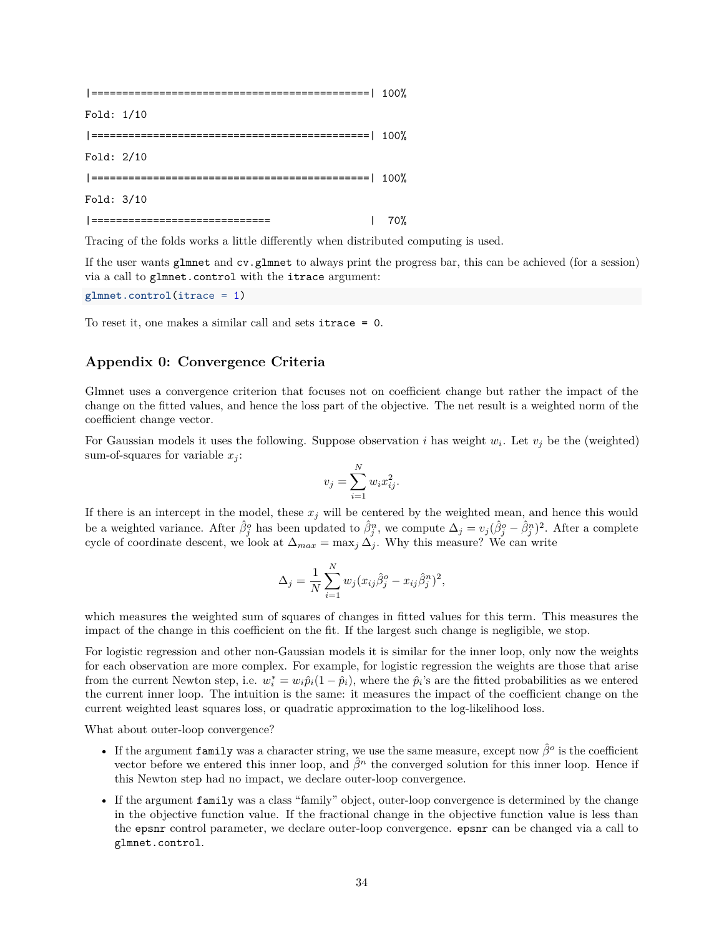|=============================================| 100% Fold: 1/10 |=============================================| 100% Fold: 2/10 |=============================================| 100% Fold: 3/10 |============================= | 70%

Tracing of the folds works a little differently when distributed computing is used.

If the user wants glmnet and cv.glmnet to always print the progress bar, this can be achieved (for a session) via a call to glmnet.control with the itrace argument:

**glmnet.control**(itrace = 1)

To reset it, one makes a similar call and sets itrace = 0.

# <span id="page-33-0"></span>**Appendix 0: Convergence Criteria**

Glmnet uses a convergence criterion that focuses not on coefficient change but rather the impact of the change on the fitted values, and hence the loss part of the objective. The net result is a weighted norm of the coefficient change vector.

For Gaussian models it uses the following. Suppose observation *i* has weight  $w_i$ . Let  $v_j$  be the (weighted) sum-of-squares for variable  $x_i$ :

$$
v_j = \sum_{i=1}^N w_i x_{ij}^2.
$$

If there is an intercept in the model, these  $x_j$  will be centered by the weighted mean, and hence this would be a weighted variance. After  $\hat{\beta}_j^o$  has been updated to  $\hat{\beta}_j^n$ , we compute  $\Delta_j = v_j(\hat{\beta}_j^o - \hat{\beta}_j^n)^2$ . After a complete cycle of coordinate descent, we look at  $\Delta_{max} = \max_j \Delta_j$ . Why this measure? We can write

$$
\Delta_j = \frac{1}{N} \sum_{i=1}^{N} w_j (x_{ij} \hat{\beta}_j^o - x_{ij} \hat{\beta}_j^n)^2,
$$

which measures the weighted sum of squares of changes in fitted values for this term. This measures the impact of the change in this coefficient on the fit. If the largest such change is negligible, we stop.

For logistic regression and other non-Gaussian models it is similar for the inner loop, only now the weights for each observation are more complex. For example, for logistic regression the weights are those that arise from the current Newton step, i.e.  $w_i^* = w_i \hat{p}_i (1 - \hat{p}_i)$ , where the  $\hat{p}_i$ 's are the fitted probabilities as we entered the current inner loop. The intuition is the same: it measures the impact of the coefficient change on the current weighted least squares loss, or quadratic approximation to the log-likelihood loss.

What about outer-loop convergence?

- If the argument family was a character string, we use the same measure, except now *β*ˆ*<sup>o</sup>* is the coefficient vector before we entered this inner loop, and *β*ˆ*<sup>n</sup>* the converged solution for this inner loop. Hence if this Newton step had no impact, we declare outer-loop convergence.
- If the argument family was a class "family" object, outer-loop convergence is determined by the change in the objective function value. If the fractional change in the objective function value is less than the epsnr control parameter, we declare outer-loop convergence. epsnr can be changed via a call to glmnet.control.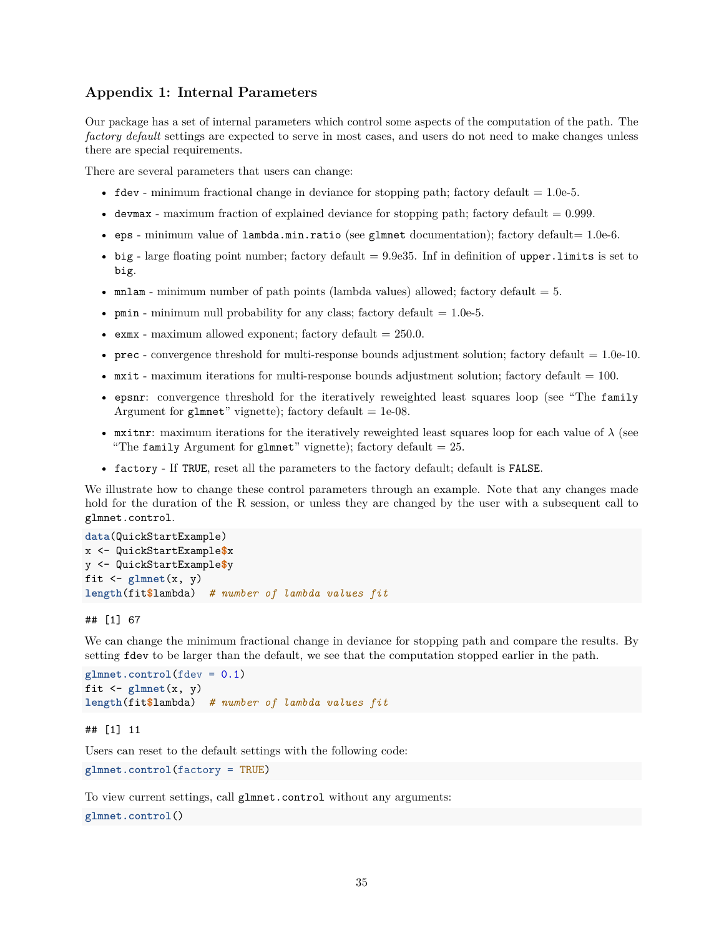# <span id="page-34-0"></span>**Appendix 1: Internal Parameters**

Our package has a set of internal parameters which control some aspects of the computation of the path. The *factory default* settings are expected to serve in most cases, and users do not need to make changes unless there are special requirements.

There are several parameters that users can change:

- fdev minimum fractional change in deviance for stopping path; factory default  $= 1.0$ e-5.
- devmax maximum fraction of explained deviance for stopping path; factory default  $= 0.999$ .
- eps minimum value of  $lambda.min.ratio$  (see g $lmnet$  documentation); factory default= 1.0e-6.
- big large floating point number; factory default  $= 9.9e35$ . Inf in definition of upper. limits is set to big.
- mnlam minimum number of path points (lambda values) allowed; factory default  $= 5$ .
- pmin minimum null probability for any class; factory default  $= 1.0e-5$ .
- exmx maximum allowed exponent; factory default  $= 250.0$ .
- prec convergence threshold for multi-response bounds adjustment solution; factory default  $= 1.0$ e-10.
- mxit maximum iterations for multi-response bounds adjustment solution; factory default  $= 100$ .
- epsnr: convergence threshold for the iteratively reweighted least squares loop (see "The family Argument for glmnet" vignette); factory default  $= 1e-08$ .
- mxitnr: maximum iterations for the iteratively reweighted least squares loop for each value of  $\lambda$  (see "The family Argument for glmnet" vignette); factory default  $= 25$ .
- factory If TRUE, reset all the parameters to the factory default; default is FALSE.

We illustrate how to change these control parameters through an example. Note that any changes made hold for the duration of the R session, or unless they are changed by the user with a subsequent call to glmnet.control.

```
data(QuickStartExample)
x <- QuickStartExample$x
y <- QuickStartExample$y
fit \leftarrow glmnet(x, y)length(fit$lambda) # number of lambda values fit
```
## [1] 67

We can change the minimum fractional change in deviance for stopping path and compare the results. By setting fdev to be larger than the default, we see that the computation stopped earlier in the path.

```
glmnet.control(fdev = 0.1)
fit \leftarrow glmnet(x, y)length(fit$lambda) # number of lambda values fit
```
#### ## [1] 11

Users can reset to the default settings with the following code:

**glmnet.control**(factory = TRUE)

To view current settings, call glmnet.control without any arguments:

**glmnet.control**()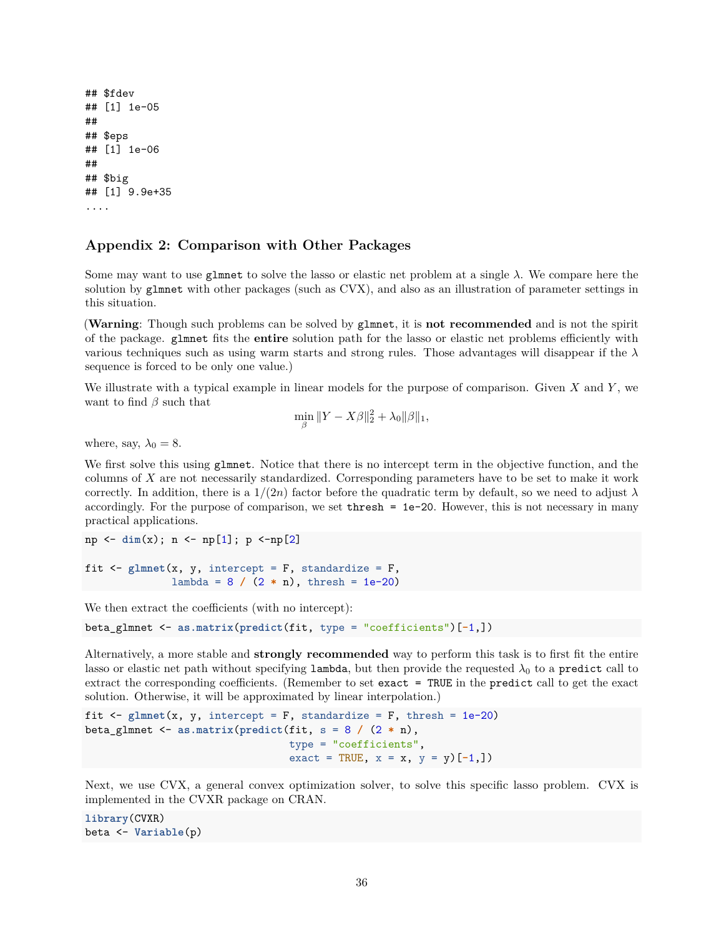```
## $fdev
## [1] 1e-05
##
## $eps
## [1] 1e-06
##
## $big
## [1] 9.9e+35
....
```
# <span id="page-35-0"></span>**Appendix 2: Comparison with Other Packages**

Some may want to use glmnet to solve the lasso or elastic net problem at a single *λ*. We compare here the solution by glmnet with other packages (such as CVX), and also as an illustration of parameter settings in this situation.

(**Warning**: Though such problems can be solved by glmnet, it is **not recommended** and is not the spirit of the package. glmnet fits the **entire** solution path for the lasso or elastic net problems efficiently with various techniques such as using warm starts and strong rules. Those advantages will disappear if the *λ* sequence is forced to be only one value.)

We illustrate with a typical example in linear models for the purpose of comparison. Given *X* and *Y* , we want to find *β* such that

$$
\min_{\beta} \|Y - X\beta\|_2^2 + \lambda_0 \|\beta\|_1,
$$

where, say,  $\lambda_0 = 8$ .

We first solve this using glmnet. Notice that there is no intercept term in the objective function, and the columns of *X* are not necessarily standardized. Corresponding parameters have to be set to make it work correctly. In addition, there is a  $1/(2n)$  factor before the quadratic term by default, so we need to adjust  $\lambda$ accordingly. For the purpose of comparison, we set thresh = 1e-20. However, this is not necessary in many practical applications.

np <- **dim**(x); n <- np[1]; p <-np[2] fit  $\leq$  glmnet(x, y, intercept = F, standardize = F,

We then extract the coefficients (with no intercept):

```
beta_glmnet <- as.matrix(predict(fit, type = "coefficients")[-1,])
```
lambda = 8 **/** (2 **\*** n), thresh = 1e-20)

Alternatively, a more stable and **strongly recommended** way to perform this task is to first fit the entire lasso or elastic net path without specifying lambda, but then provide the requested  $\lambda_0$  to a predict call to extract the corresponding coefficients. (Remember to set exact = TRUE in the predict call to get the exact solution. Otherwise, it will be approximated by linear interpolation.)

```
fit \leq glmnet(x, y, intercept = F, standardize = F, thresh = 1e-20)
beta_glmnet <- as.matrix(predict(fit, s = 8 / (2 * n),
                                 type = "coefficients",
                                 exact = TRUE, x = x, y = y[-1,])
```
Next, we use CVX, a general convex optimization solver, to solve this specific lasso problem. CVX is implemented in the CVXR package on CRAN.

**library**(CVXR) beta <- **Variable**(p)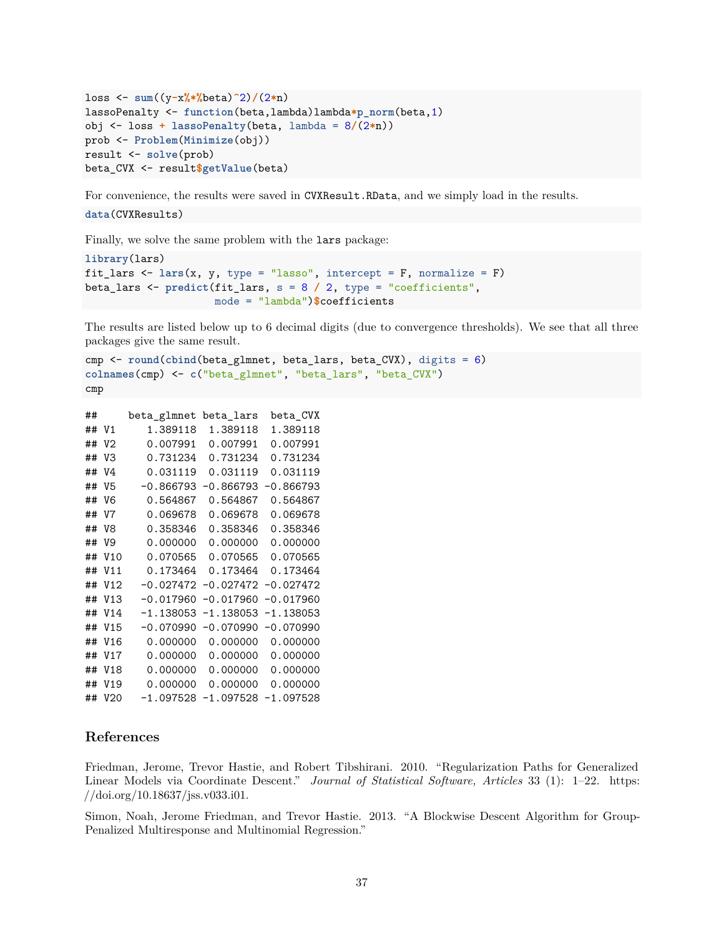```
loss <- sum((y-x%*%beta)^2)/(2*n)
lassoPenalty <- function(beta,lambda)lambda*p_norm(beta,1)
obj <- loss + lassoPenalty(beta, lambda = 8/(2*n))
prob <- Problem(Minimize(obj))
result <- solve(prob)
beta_CVX <- result$getValue(beta)
```
For convenience, the results were saved in CVXResult.RData, and we simply load in the results.

```
data(CVXResults)
```
Finally, we solve the same problem with the lars package:

```
library(lars)
fit_lars <- lars(x, y, type = "lasso", intercept = F, normalize = F)
beta_lars <- predict(fit_lars, s = 8 / 2, type = "coefficients",
                     mode = "lambda")$coefficients
```
The results are listed below up to 6 decimal digits (due to convergence thresholds). We see that all three packages give the same result.

```
cmp <- round(cbind(beta_glmnet, beta_lars, beta_CVX), digits = 6)
colnames(cmp) <- c("beta_glmnet", "beta_lars", "beta_CVX")
cmp
```

```
## beta_glmnet beta_lars beta_CVX
## V1 1.389118 1.389118 1.389118
## V2 0.007991 0.007991 0.007991
## V3 0.731234 0.731234 0.731234
## V4 0.031119 0.031119 0.031119
## V5 -0.866793 -0.866793 -0.866793
## V6 0.564867 0.564867 0.564867
## V7 0.069678 0.069678 0.069678
## V8 0.358346 0.358346 0.358346
## V9 0.000000 0.000000 0.000000
## V10 0.070565 0.070565 0.070565
## V11 0.173464 0.173464 0.173464
## V12 -0.027472 -0.027472 -0.027472
## V13 -0.017960 -0.017960 -0.017960
## V14 -1.138053 -1.138053 -1.138053
## V15 -0.070990 -0.070990 -0.070990
## V16 0.000000 0.000000 0.000000
## V17 0.000000 0.000000 0.000000
## V18 0.000000 0.000000 0.000000
## V19 0.000000 0.000000 0.000000
## V20 -1.097528 -1.097528 -1.097528
```
# <span id="page-36-0"></span>**References**

<span id="page-36-1"></span>Friedman, Jerome, Trevor Hastie, and Robert Tibshirani. 2010. "Regularization Paths for Generalized Linear Models via Coordinate Descent." *Journal of Statistical Software, Articles* 33 (1): 1–22. [https:](https://doi.org/10.18637/jss.v033.i01) [//doi.org/10.18637/jss.v033.i01.](https://doi.org/10.18637/jss.v033.i01)

<span id="page-36-2"></span>Simon, Noah, Jerome Friedman, and Trevor Hastie. 2013. "A Blockwise Descent Algorithm for Group-Penalized Multiresponse and Multinomial Regression."